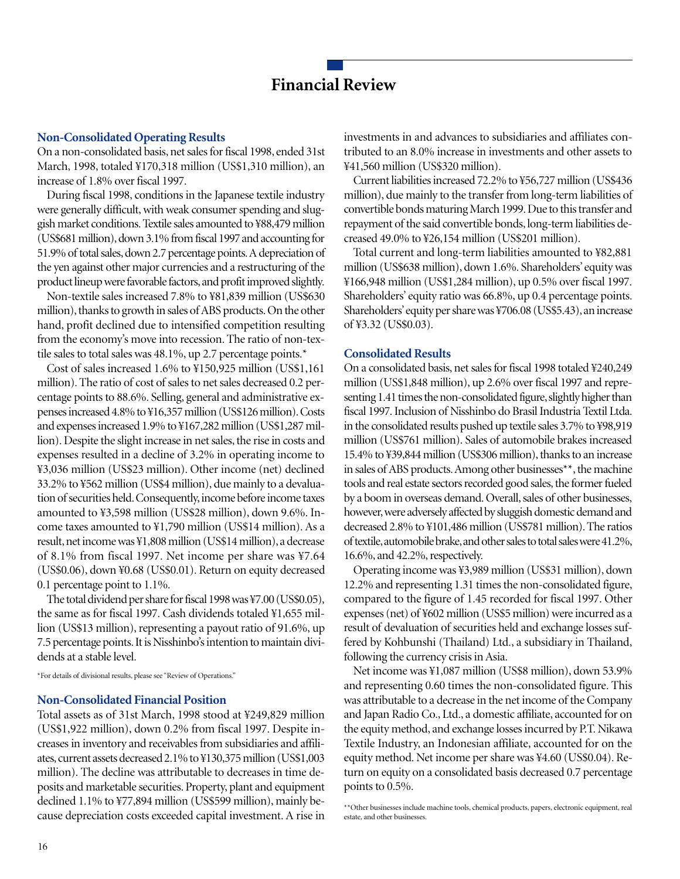# **Financial Review**

## **Non-Consolidated Operating Results**

On a non-consolidated basis, net sales for fiscal 1998, ended 31st March, 1998, totaled ¥170,318 million (US\$1,310 million), an increase of 1.8% over fiscal 1997.

During fiscal 1998, conditions in the Japanese textile industry were generally difficult, with weak consumer spending and sluggish market conditions. Textile sales amounted to ¥88,479 million (US\$681 million), down 3.1% from fiscal 1997 and accounting for 51.9% of total sales, down 2.7 percentage points. A depreciation of the yen against other major currencies and a restructuring of the product lineup were favorable factors, and profit improved slightly.

Non-textile sales increased 7.8% to ¥81,839 million (US\$630 million), thanks to growth in sales of ABS products. On the other hand, profit declined due to intensified competition resulting from the economy's move into recession. The ratio of non-textile sales to total sales was 48.1%, up 2.7 percentage points.\*

Cost of sales increased 1.6% to ¥150,925 million (US\$1,161 million). The ratio of cost of sales to net sales decreased 0.2 percentage points to 88.6%. Selling, general and administrative expenses increased 4.8% to ¥16,357 million (US\$126 million). Costs and expenses increased 1.9% to ¥167,282 million (US\$1,287 million). Despite the slight increase in net sales, the rise in costs and expenses resulted in a decline of 3.2% in operating income to ¥3,036 million (US\$23 million). Other income (net) declined 33.2% to ¥562 million (US\$4 million), due mainly to a devaluation of securities held. Consequently, income before income taxes amounted to ¥3,598 million (US\$28 million), down 9.6%. Income taxes amounted to ¥1,790 million (US\$14 million). As a result, net income was ¥1,808 million (US\$14 million), a decrease of 8.1% from fiscal 1997. Net income per share was ¥7.64 (US\$0.06), down ¥0.68 (US\$0.01). Return on equity decreased 0.1 percentage point to 1.1%.

The total dividend per share for fiscal 1998 was ¥7.00 (US\$0.05), the same as for fiscal 1997. Cash dividends totaled ¥1,655 million (US\$13 million), representing a payout ratio of 91.6%, up 7.5 percentage points. It is Nisshinbo's intention to maintain dividends at a stable level.

\*For details of divisional results, please see "Review of Operations."

### **Non-Consolidated Financial Position**

Total assets as of 31st March, 1998 stood at ¥249,829 million (US\$1,922 million), down 0.2% from fiscal 1997. Despite increases in inventory and receivables from subsidiaries and affiliates, current assets decreased 2.1% to ¥130,375 million (US\$1,003 million). The decline was attributable to decreases in time deposits and marketable securities. Property, plant and equipment declined 1.1% to ¥77,894 million (US\$599 million), mainly because depreciation costs exceeded capital investment. A rise in investments in and advances to subsidiaries and affiliates contributed to an 8.0% increase in investments and other assets to ¥41,560 million (US\$320 million).

Current liabilities increased 72.2% to ¥56,727 million (US\$436 million), due mainly to the transfer from long-term liabilities of convertible bonds maturing March 1999. Due to this transfer and repayment of the said convertible bonds, long-term liabilities decreased 49.0% to ¥26,154 million (US\$201 million).

Total current and long-term liabilities amounted to ¥82,881 million (US\$638 million), down 1.6%. Shareholders' equity was ¥166,948 million (US\$1,284 million), up 0.5% over fiscal 1997. Shareholders' equity ratio was 66.8%, up 0.4 percentage points. Shareholders' equity per share was ¥706.08 (US\$5.43), an increase of ¥3.32 (US\$0.03).

## **Consolidated Results**

On a consolidated basis, net sales for fiscal 1998 totaled ¥240,249 million (US\$1,848 million), up 2.6% over fiscal 1997 and representing 1.41 times the non-consolidated figure, slightly higher than fiscal 1997. Inclusion of Nisshinbo do Brasil Industria Textil Ltda. in the consolidated results pushed up textile sales 3.7% to ¥98,919 million (US\$761 million). Sales of automobile brakes increased 15.4% to ¥39,844 million (US\$306 million), thanks to an increase in sales of ABS products. Among other businesses\*\*, the machine tools and real estate sectors recorded good sales, the former fueled by a boom in overseas demand. Overall, sales of other businesses, however, were adversely affected by sluggish domestic demand and decreased 2.8% to ¥101,486 million (US\$781 million). The ratios of textile, automobile brake, and other sales to total sales were 41.2%, 16.6%, and 42.2%, respectively.

Operating income was ¥3,989 million (US\$31 million), down 12.2% and representing 1.31 times the non-consolidated figure, compared to the figure of 1.45 recorded for fiscal 1997. Other expenses (net) of ¥602 million (US\$5 million) were incurred as a result of devaluation of securities held and exchange losses suffered by Kohbunshi (Thailand) Ltd., a subsidiary in Thailand, following the currency crisis in Asia.

Net income was ¥1,087 million (US\$8 million), down 53.9% and representing 0.60 times the non-consolidated figure. This was attributable to a decrease in the net income of the Company and Japan Radio Co., Ltd., a domestic affiliate, accounted for on the equity method, and exchange losses incurred by P.T. Nikawa Textile Industry, an Indonesian affiliate, accounted for on the equity method. Net income per share was ¥4.60 (US\$0.04). Return on equity on a consolidated basis decreased 0.7 percentage points to 0.5%.

<sup>\*\*</sup>Other businesses include machine tools, chemical products, papers, electronic equipment, real estate, and other businesses.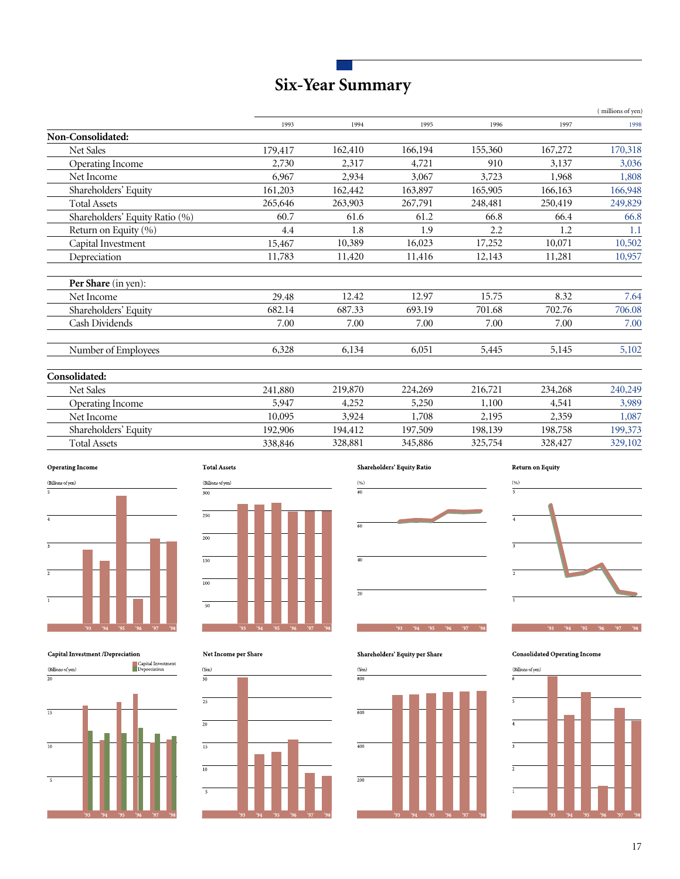# **Six-Year Summary**

|                                |         |         |         |         |         | (millions of yen) |
|--------------------------------|---------|---------|---------|---------|---------|-------------------|
|                                | 1993    | 1994    | 1995    | 1996    | 1997    | 1998              |
| Non-Consolidated:              |         |         |         |         |         |                   |
| Net Sales                      | 179,417 | 162,410 | 166,194 | 155,360 | 167,272 | 170,318           |
| Operating Income               | 2,730   | 2,317   | 4,721   | 910     | 3,137   | 3,036             |
| Net Income                     | 6,967   | 2,934   | 3,067   | 3,723   | 1,968   | 1,808             |
| Shareholders' Equity           | 161,203 | 162,442 | 163,897 | 165,905 | 166,163 | 166,948           |
| <b>Total Assets</b>            | 265,646 | 263,903 | 267,791 | 248,481 | 250,419 | 249,829           |
| Shareholders' Equity Ratio (%) | 60.7    | 61.6    | 61.2    | 66.8    | 66.4    | 66.8              |
| Return on Equity (%)           | 4.4     | 1.8     | 1.9     | 2.2     | 1.2     | 1.1               |
| Capital Investment             | 15,467  | 10,389  | 16,023  | 17,252  | 10,071  | 10,502            |
| Depreciation                   | 11,783  | 11,420  | 11,416  | 12,143  | 11,281  | 10,957            |
| Per Share (in yen):            |         |         |         |         |         |                   |
| Net Income                     | 29.48   | 12.42   | 12.97   | 15.75   | 8.32    | 7.64              |
| Shareholders' Equity           | 682.14  | 687.33  | 693.19  | 701.68  | 702.76  | 706.08            |
| Cash Dividends                 | 7.00    | 7.00    | 7.00    | 7.00    | 7.00    | 7.00              |
| Number of Employees            | 6,328   | 6,134   | 6,051   | 5,445   | 5,145   | 5,102             |
| Consolidated:                  |         |         |         |         |         |                   |
| <b>Net Sales</b>               | 241,880 | 219,870 | 224,269 | 216,721 | 234,268 | 240,249           |
| Operating Income               | 5,947   | 4,252   | 5,250   | 1,100   | 4,541   | 3,989             |
| Net Income                     | 10,095  | 3,924   | 1,708   | 2,195   | 2,359   | 1,087             |
| Shareholders' Equity           | 192,906 | 194,412 | 197,509 | 198,139 | 198,758 | 199,373           |
| <b>Total Assets</b>            | 338,846 | 328,881 | 345,886 | 325,754 | 328,427 | 329,102           |



**Total Assets**  $\left($  Billions of yen)  $\overline{300}$  $\overline{\mathbf{250}}$  $\overline{\rule[0.65em]{0pt}{0.9em}}$  $\frac{150}{ }$  $\overline{100}$ T

Capital Investment /Depreciation



Net Income per Share







 $93$   $94$   $95$   $96$   $97$   $98$ 

Shareholders' Equity per Share



 $\mbox{Consolidated Operating Income}$ 

П

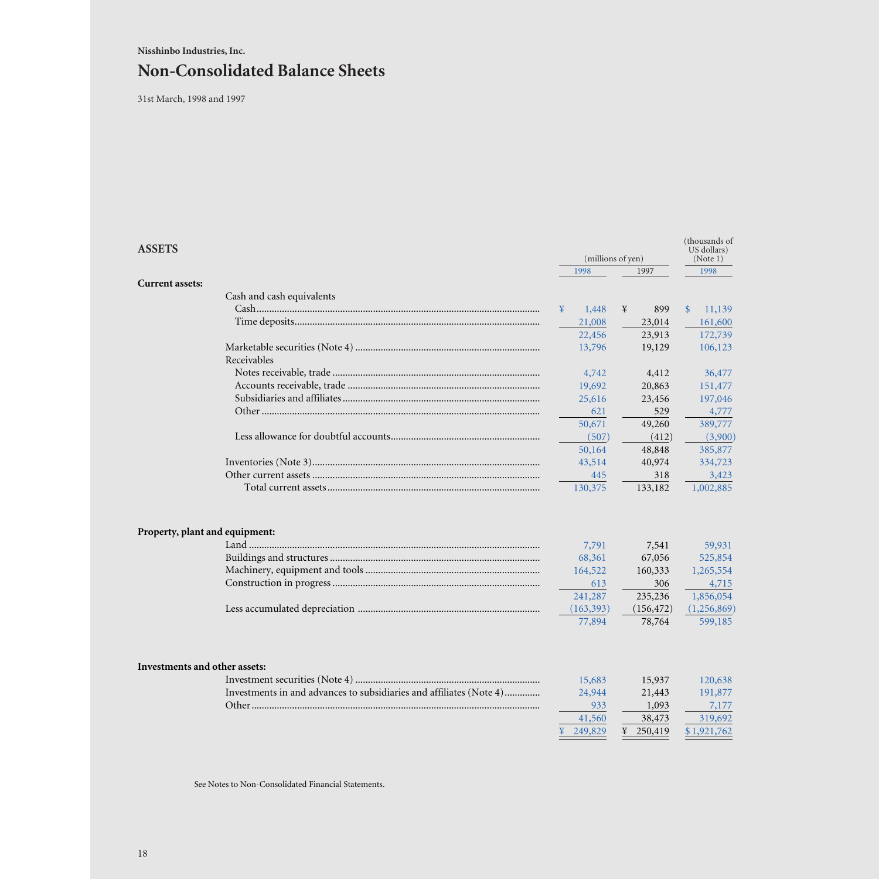# **Non-Consolidated Balance Sheets**

31st March, 1998 and 1997

| <b>ASSETS</b>                  |                                                                     | 1998                                                                 | (millions of yen)<br>1997                                            |                                                                                | (thousands of<br>US dollars)<br>(Note 1) |  |
|--------------------------------|---------------------------------------------------------------------|----------------------------------------------------------------------|----------------------------------------------------------------------|--------------------------------------------------------------------------------|------------------------------------------|--|
| <b>Current assets:</b>         |                                                                     |                                                                      |                                                                      | 1998                                                                           |                                          |  |
|                                | Cash and cash equivalents                                           |                                                                      |                                                                      |                                                                                |                                          |  |
|                                |                                                                     | 1,448<br>¥                                                           | 899<br>¥                                                             | 11,139<br>$\mathbb{S}$                                                         |                                          |  |
|                                |                                                                     | 21,008                                                               | 23,014                                                               | 161,600                                                                        |                                          |  |
|                                |                                                                     | 22,456                                                               | 23,913                                                               | 172,739                                                                        |                                          |  |
|                                |                                                                     | 13,796                                                               | 19,129                                                               | 106,123                                                                        |                                          |  |
|                                | Receivables                                                         |                                                                      |                                                                      |                                                                                |                                          |  |
|                                |                                                                     | 4,742                                                                | 4,412                                                                | 36,477                                                                         |                                          |  |
|                                |                                                                     | 19,692                                                               | 20,863                                                               | 151,477                                                                        |                                          |  |
|                                |                                                                     | 25,616                                                               | 23,456                                                               | 197,046                                                                        |                                          |  |
|                                |                                                                     | 621                                                                  | 529                                                                  | 4,777                                                                          |                                          |  |
|                                |                                                                     | 50,671                                                               | 49,260                                                               | 389,777                                                                        |                                          |  |
|                                |                                                                     | (507)                                                                | (412)                                                                | (3,900)                                                                        |                                          |  |
|                                |                                                                     | 50,164                                                               | 48,848                                                               | 385,877                                                                        |                                          |  |
|                                |                                                                     | 43,514                                                               | 40,974                                                               | 334,723                                                                        |                                          |  |
|                                |                                                                     | 445                                                                  | 318                                                                  | 3,423                                                                          |                                          |  |
|                                |                                                                     | 130,375                                                              | 133,182                                                              | 1,002,885                                                                      |                                          |  |
| Property, plant and equipment: |                                                                     | 7,791<br>68,361<br>164,522<br>613<br>241,287<br>(163, 393)<br>77,894 | 7,541<br>67,056<br>160,333<br>306<br>235,236<br>(156, 472)<br>78,764 | 59,931<br>525,854<br>1,265,554<br>4,715<br>1,856,054<br>(1,256,869)<br>599,185 |                                          |  |
| Investments and other assets:  |                                                                     |                                                                      |                                                                      |                                                                                |                                          |  |
|                                |                                                                     | 15,683                                                               | 15,937                                                               | 120,638                                                                        |                                          |  |
|                                | Investments in and advances to subsidiaries and affiliates (Note 4) | 24,944                                                               | 21,443                                                               | 191,877                                                                        |                                          |  |
|                                |                                                                     | 933                                                                  | 1,093                                                                | 7,177                                                                          |                                          |  |
|                                |                                                                     | 41,560                                                               | 38,473                                                               | 319,692                                                                        |                                          |  |
|                                |                                                                     | 249,829                                                              | ¥<br>250,419                                                         | \$1,921,762                                                                    |                                          |  |
|                                |                                                                     |                                                                      |                                                                      |                                                                                |                                          |  |

See Notes to Non-Consolidated Financial Statements.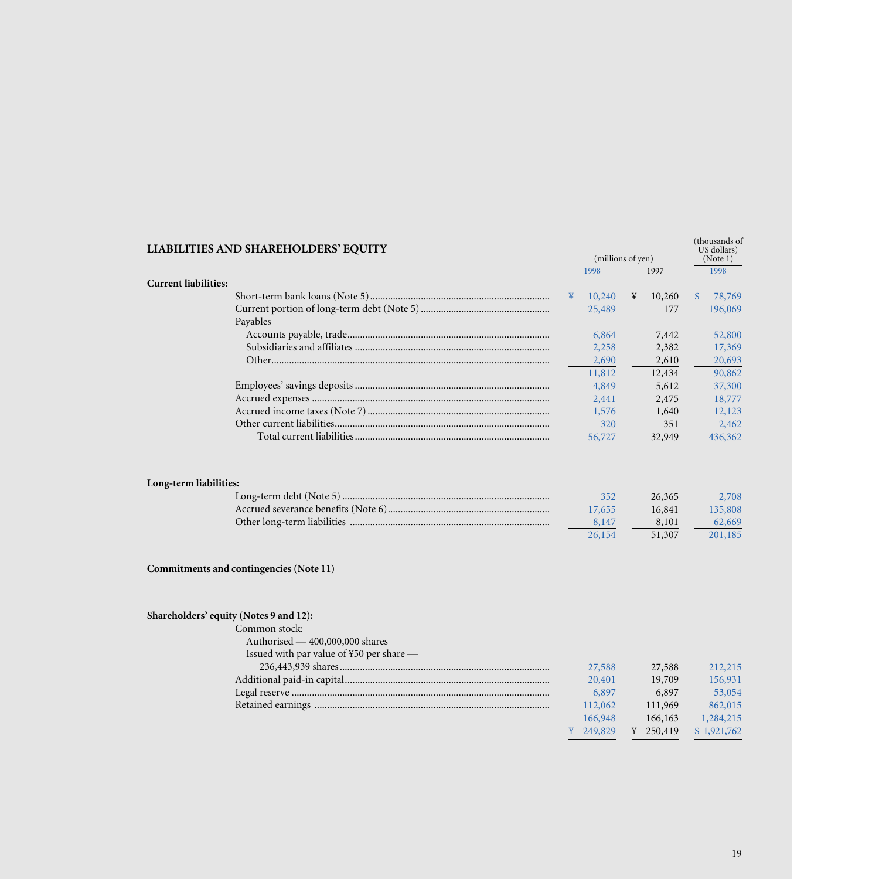| LIABILITIES AND SHAREHOLDERS' EQUITY                                                                                                   |                                                                 | (millions of yen)                                            | (thousands of<br>US dollars)<br>(Note 1)                            |
|----------------------------------------------------------------------------------------------------------------------------------------|-----------------------------------------------------------------|--------------------------------------------------------------|---------------------------------------------------------------------|
|                                                                                                                                        | 1998                                                            | 1997                                                         | 1998                                                                |
| <b>Current liabilities:</b>                                                                                                            |                                                                 |                                                              |                                                                     |
|                                                                                                                                        | 10,240<br>¥                                                     | ¥<br>10,260                                                  | $\mathbb{S}$<br>78,769                                              |
| Payables                                                                                                                               | 25,489                                                          | 177                                                          | 196,069                                                             |
|                                                                                                                                        | 6,864                                                           | 7,442                                                        | 52,800                                                              |
|                                                                                                                                        | 2,258                                                           | 2,382                                                        | 17,369                                                              |
|                                                                                                                                        | 2,690                                                           | 2,610                                                        | 20,693                                                              |
|                                                                                                                                        | 11,812                                                          | 12,434                                                       | 90,862                                                              |
|                                                                                                                                        | 4,849                                                           | 5,612                                                        | 37,300                                                              |
|                                                                                                                                        | 2,441                                                           | 2,475                                                        | 18,777                                                              |
|                                                                                                                                        | 1,576                                                           | 1,640                                                        | 12,123                                                              |
|                                                                                                                                        | 320                                                             | 351                                                          | 2,462                                                               |
|                                                                                                                                        | 56,727                                                          | 32,949                                                       | 436,362                                                             |
| Long-term liabilities:                                                                                                                 | 352<br>17,655<br>8,147<br>26,154                                | 26,365<br>16,841<br>8,101<br>51,307                          | 2,708<br>135,808<br>62,669<br>201,185                               |
| Commitments and contingencies (Note 11)                                                                                                |                                                                 |                                                              |                                                                     |
| Shareholders' equity (Notes 9 and 12):<br>Common stock:<br>Authorised - 400,000,000 shares<br>Issued with par value of ¥50 per share - | 27,588<br>20,401<br>6,897<br>112,062<br>166,948<br>¥<br>249,829 | 27,588<br>19,709<br>6,897<br>111,969<br>166,163<br>¥ 250,419 | 212,215<br>156,931<br>53,054<br>862,015<br>1,284,215<br>\$1,921,762 |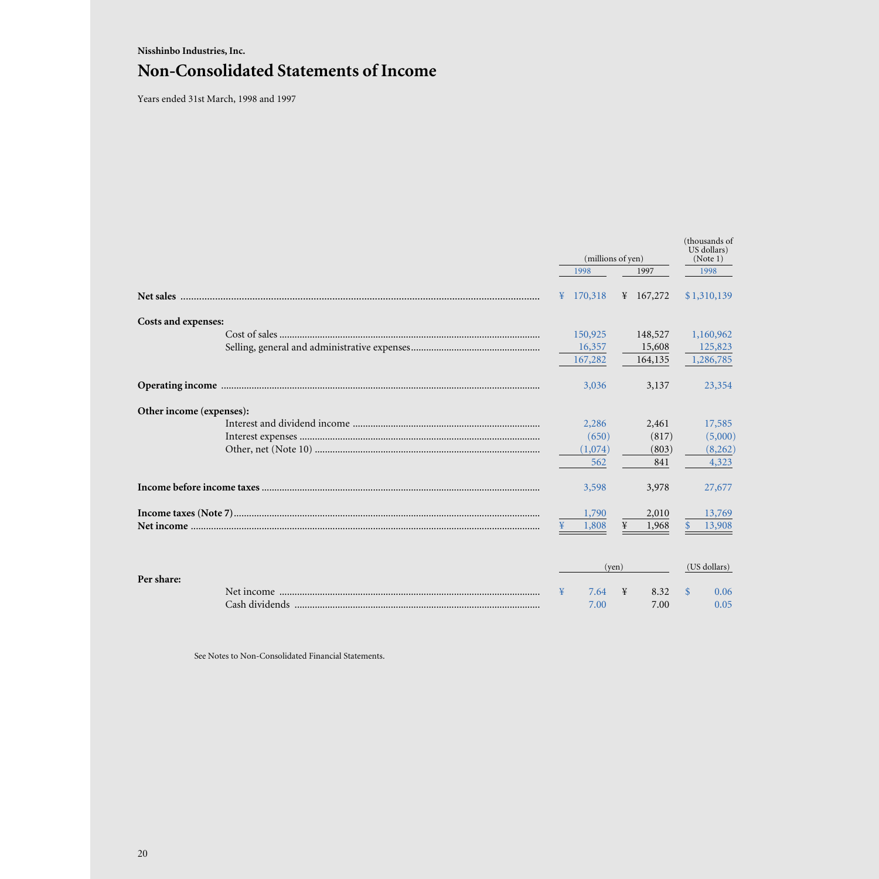# **Nisshinbo Industries, Inc. Non-Consolidated Statements of Income**

Years ended 31st March, 1998 and 1997

|                                                                       |  | (millions of yen) |           |         |               |              |  |  |  | (thousands of<br>US dollars)<br>(Note 1) |
|-----------------------------------------------------------------------|--|-------------------|-----------|---------|---------------|--------------|--|--|--|------------------------------------------|
|                                                                       |  | 1998              |           | 1997    |               | 1998         |  |  |  |                                          |
|                                                                       |  | ¥ $170,318$       | ¥ 167,272 |         |               | \$1,310,139  |  |  |  |                                          |
| <b>Costs and expenses:</b>                                            |  |                   |           |         |               |              |  |  |  |                                          |
|                                                                       |  | 150,925           |           | 148,527 |               | 1,160,962    |  |  |  |                                          |
|                                                                       |  | 16,357            |           | 15,608  |               | 125,823      |  |  |  |                                          |
|                                                                       |  | 167,282           |           | 164,135 |               | 1,286,785    |  |  |  |                                          |
|                                                                       |  | 3,036             |           | 3,137   |               | 23,354       |  |  |  |                                          |
| Other income (expenses):                                              |  |                   |           |         |               |              |  |  |  |                                          |
|                                                                       |  | 2,286             |           | 2,461   |               | 17,585       |  |  |  |                                          |
|                                                                       |  | (650)             |           | (817)   |               | (5,000)      |  |  |  |                                          |
|                                                                       |  | (1,074)           |           | (803)   |               | (8,262)      |  |  |  |                                          |
|                                                                       |  | 562               |           | 841     |               | 4,323        |  |  |  |                                          |
| <u>Income before income taxes ……………………………………………………………………………………………</u> |  | 3,598             |           | 3,978   |               | 27,677       |  |  |  |                                          |
|                                                                       |  | 1,790             |           | 2,010   |               | 13,769       |  |  |  |                                          |
|                                                                       |  | 1,808             | ¥         | 1,968   |               | 13,908       |  |  |  |                                          |
|                                                                       |  |                   | (ven)     |         |               | (US dollars) |  |  |  |                                          |
| Per share:                                                            |  |                   |           |         |               |              |  |  |  |                                          |
|                                                                       |  | 7.64              | ¥         | 8.32    | <sup>\$</sup> | 0.06         |  |  |  |                                          |
|                                                                       |  | 7.00              |           | 7.00    |               | 0.05         |  |  |  |                                          |

See Notes to Non-Consolidated Financial Statements.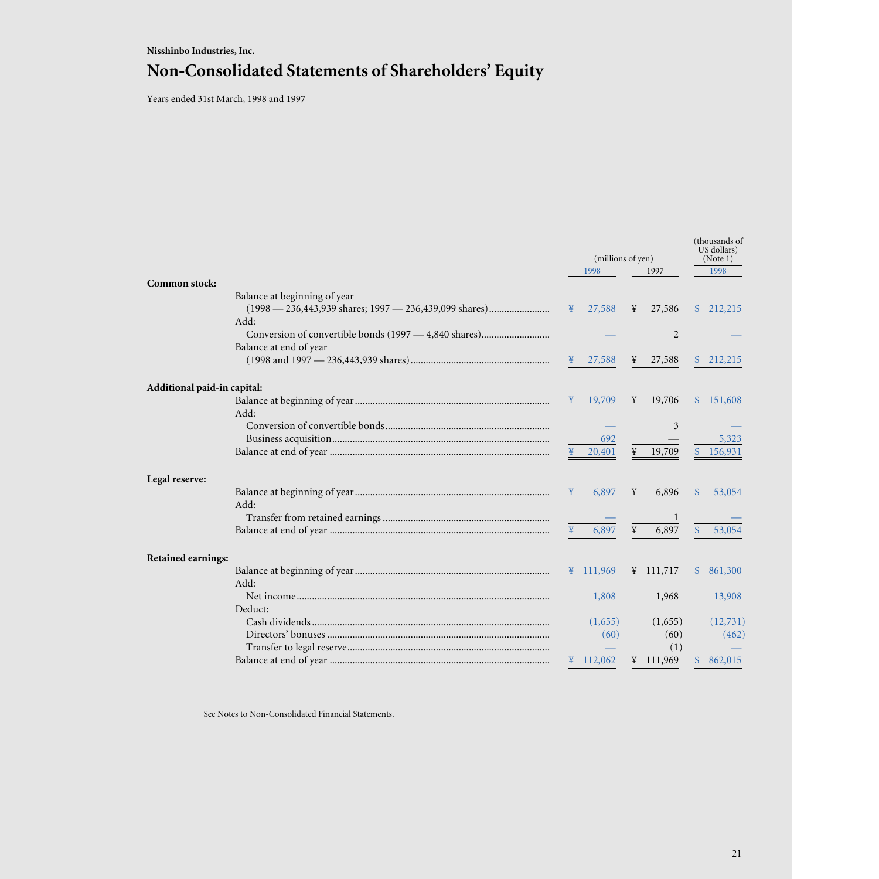# **Nisshinbo Industries, Inc. Non-Consolidated Statements of Shareholders' Equity**

Years ended 31st March, 1998 and 1997

|                             |                                                        | (millions of yen) |                     |   |                     |               |           |  |  |  |  |  |  | (thousands of |  |  |
|-----------------------------|--------------------------------------------------------|-------------------|---------------------|---|---------------------|---------------|-----------|--|--|--|--|--|--|---------------|--|--|
|                             |                                                        |                   | 1998                |   | 1997                |               | 1998      |  |  |  |  |  |  |               |  |  |
| Common stock:               |                                                        |                   |                     |   |                     |               |           |  |  |  |  |  |  |               |  |  |
|                             | Balance at beginning of year                           |                   |                     |   |                     |               |           |  |  |  |  |  |  |               |  |  |
|                             | (1998 — 236,443,939 shares; 1997 — 236,439,099 shares) | $\mathbf{F}$      | 27,588              | ¥ | 27,586              |               | \$212,215 |  |  |  |  |  |  |               |  |  |
|                             | Add:                                                   |                   |                     |   |                     |               |           |  |  |  |  |  |  |               |  |  |
|                             |                                                        |                   |                     |   | 2                   |               |           |  |  |  |  |  |  |               |  |  |
|                             | Balance at end of year                                 |                   |                     |   |                     |               |           |  |  |  |  |  |  |               |  |  |
|                             |                                                        |                   | ¥ 27,588            | ¥ | 27,588              |               | \$212,215 |  |  |  |  |  |  |               |  |  |
| Additional paid-in capital: |                                                        |                   |                     |   |                     |               |           |  |  |  |  |  |  |               |  |  |
|                             |                                                        | $\mathbf{F}$      | 19,709              | ¥ | 19,706              | $\mathbb{S}$  | 151,608   |  |  |  |  |  |  |               |  |  |
|                             | Add:                                                   |                   |                     |   |                     |               |           |  |  |  |  |  |  |               |  |  |
|                             |                                                        |                   |                     |   | 3                   |               |           |  |  |  |  |  |  |               |  |  |
|                             |                                                        |                   | 692                 |   |                     |               | 5,323     |  |  |  |  |  |  |               |  |  |
|                             |                                                        |                   | 20,401              |   | 19,709              |               | 156,931   |  |  |  |  |  |  |               |  |  |
| Legal reserve:              |                                                        |                   |                     |   |                     |               |           |  |  |  |  |  |  |               |  |  |
|                             |                                                        | ¥                 | 6,897               | ¥ | 6,896               | <sup>\$</sup> | 53,054    |  |  |  |  |  |  |               |  |  |
|                             | Add:                                                   |                   |                     |   |                     |               |           |  |  |  |  |  |  |               |  |  |
|                             |                                                        |                   |                     |   |                     |               |           |  |  |  |  |  |  |               |  |  |
|                             |                                                        |                   | 6,897               | ¥ | 6,897               | $\mathbf{\$}$ | 53,054    |  |  |  |  |  |  |               |  |  |
| <b>Retained earnings:</b>   |                                                        |                   |                     |   |                     |               |           |  |  |  |  |  |  |               |  |  |
|                             |                                                        |                   | $\frac{4}{111,969}$ |   | $\frac{111,717}{2}$ | \$.           | 861,300   |  |  |  |  |  |  |               |  |  |
|                             | Add:                                                   |                   |                     |   |                     |               |           |  |  |  |  |  |  |               |  |  |
|                             |                                                        |                   | 1,808               |   | 1,968               |               | 13,908    |  |  |  |  |  |  |               |  |  |
|                             | Deduct:                                                |                   |                     |   |                     |               |           |  |  |  |  |  |  |               |  |  |
|                             |                                                        |                   | (1,655)             |   | (1,655)             |               | (12,731)  |  |  |  |  |  |  |               |  |  |
|                             |                                                        |                   | (60)                |   | (60)                |               | (462)     |  |  |  |  |  |  |               |  |  |
|                             |                                                        |                   |                     |   | (1)                 |               |           |  |  |  |  |  |  |               |  |  |
|                             |                                                        |                   | ¥ $112,062$         |   | ¥ 111,969           |               | 862,015   |  |  |  |  |  |  |               |  |  |
|                             |                                                        |                   |                     |   |                     |               |           |  |  |  |  |  |  |               |  |  |

See Notes to Non-Consolidated Financial Statements.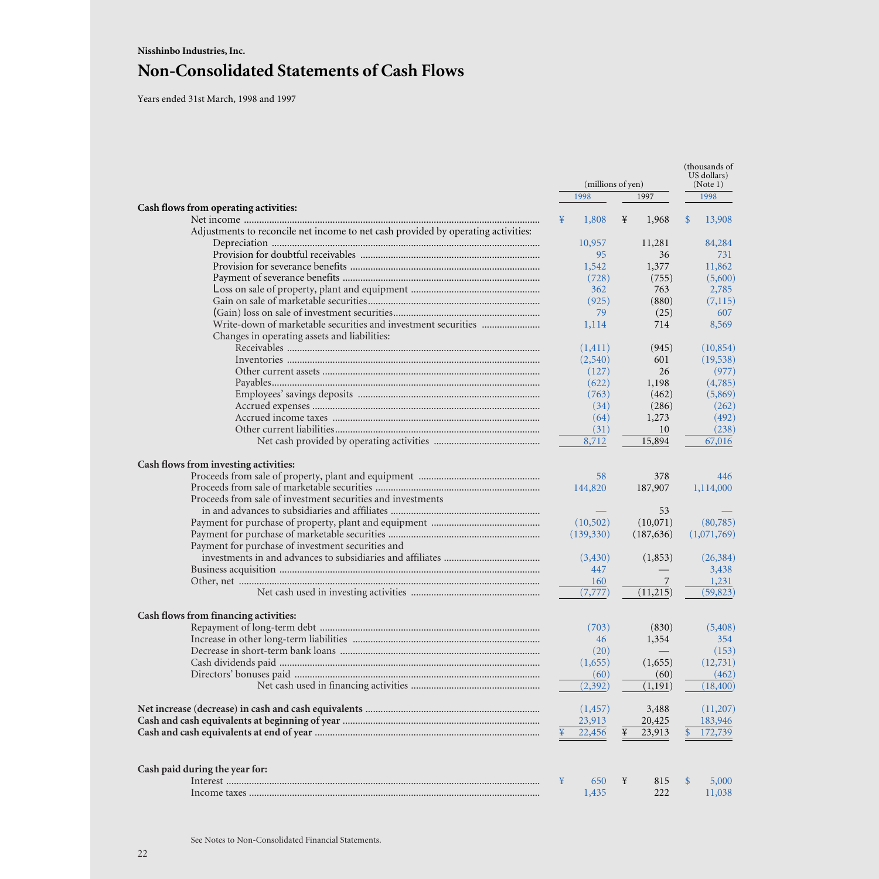Years ended 31st March, 1998 and 1997

|                                                                                   |   |                   |   |            | (thousands of<br>US dollars) |             |  |
|-----------------------------------------------------------------------------------|---|-------------------|---|------------|------------------------------|-------------|--|
|                                                                                   |   | (millions of yen) |   |            |                              | (Note 1)    |  |
|                                                                                   |   | 1998              |   | 1997       |                              | 1998        |  |
| Cash flows from operating activities:                                             |   |                   |   |            |                              |             |  |
|                                                                                   | ¥ | 1,808             | ¥ | 1,968      | $\mathbb{S}$                 | 13,908      |  |
| Adjustments to reconcile net income to net cash provided by operating activities: |   |                   |   |            |                              |             |  |
|                                                                                   |   | 10,957            |   | 11,281     |                              | 84,284      |  |
|                                                                                   |   | 95                |   | 36         |                              | 731         |  |
|                                                                                   |   | 1,542             |   | 1,377      |                              | 11,862      |  |
|                                                                                   |   | (728)             |   | (755)      |                              | (5,600)     |  |
|                                                                                   |   | 362               |   | 763        |                              | 2,785       |  |
|                                                                                   |   | (925)             |   | (880)      |                              | (7,115)     |  |
|                                                                                   |   | 79                |   | (25)       |                              | 607         |  |
|                                                                                   |   | 1,114             |   | 714        |                              | 8,569       |  |
| Changes in operating assets and liabilities:                                      |   |                   |   |            |                              |             |  |
|                                                                                   |   | (1, 411)          |   | (945)      |                              | (10, 854)   |  |
|                                                                                   |   | (2,540)           |   | 601        |                              | (19, 538)   |  |
|                                                                                   |   | (127)             |   | 26         |                              | (977)       |  |
|                                                                                   |   | (622)             |   | 1,198      |                              | (4,785)     |  |
|                                                                                   |   | (763)             |   | (462)      |                              | (5,869)     |  |
|                                                                                   |   | (34)              |   | (286)      |                              | (262)       |  |
|                                                                                   |   | (64)              |   | 1,273      |                              | (492)       |  |
|                                                                                   |   | (31)              |   | 10         |                              | (238)       |  |
|                                                                                   |   | 8,712             |   | 15,894     |                              | 67,016      |  |
| Cash flows from investing activities:                                             |   |                   |   |            |                              |             |  |
|                                                                                   |   | 58                |   | 378        |                              | 446         |  |
|                                                                                   |   | 144,820           |   | 187,907    |                              | 1,114,000   |  |
| Proceeds from sale of investment securities and investments                       |   |                   |   |            |                              |             |  |
|                                                                                   |   |                   |   | 53         |                              |             |  |
|                                                                                   |   | (10,502)          |   | (10,071)   |                              | (80,785)    |  |
|                                                                                   |   | (139, 330)        |   | (187, 636) |                              | (1,071,769) |  |
| Payment for purchase of investment securities and                                 |   |                   |   |            |                              |             |  |
|                                                                                   |   | (3,430)           |   | (1,853)    |                              | (26, 384)   |  |
|                                                                                   |   | 447               |   |            |                              | 3,438       |  |
|                                                                                   |   | 160               |   | 7          |                              | 1,231       |  |
|                                                                                   |   | (7, 777)          |   | (11,215)   |                              | (59, 823)   |  |
|                                                                                   |   |                   |   |            |                              |             |  |
| Cash flows from financing activities:                                             |   |                   |   |            |                              |             |  |
|                                                                                   |   | (703)             |   | (830)      |                              | (5,408)     |  |
|                                                                                   |   | 46                |   | 1,354      |                              | 354         |  |
|                                                                                   |   | (20)              |   |            |                              | (153)       |  |
|                                                                                   |   | (1,655)           |   | (1,655)    |                              | (12,731)    |  |
|                                                                                   |   | (60)              |   | (60)       |                              | (462)       |  |
|                                                                                   |   | (2, 392)          |   | (1,191)    |                              | (18, 400)   |  |
|                                                                                   |   | (1, 457)          |   | 3,488      |                              | (11,207)    |  |
|                                                                                   |   | 23,913            |   | 20,425     |                              | 183,946     |  |
|                                                                                   |   | 22,456            | ¥ | 23,913     |                              | 172,739     |  |
| Cash paid during the year for:                                                    |   |                   |   |            |                              |             |  |
|                                                                                   | ¥ | 650               | ¥ | 815        | $\mathbb{S}$                 | 5,000       |  |
|                                                                                   |   | 1,435             |   | 222        |                              | 11,038      |  |
|                                                                                   |   |                   |   |            |                              |             |  |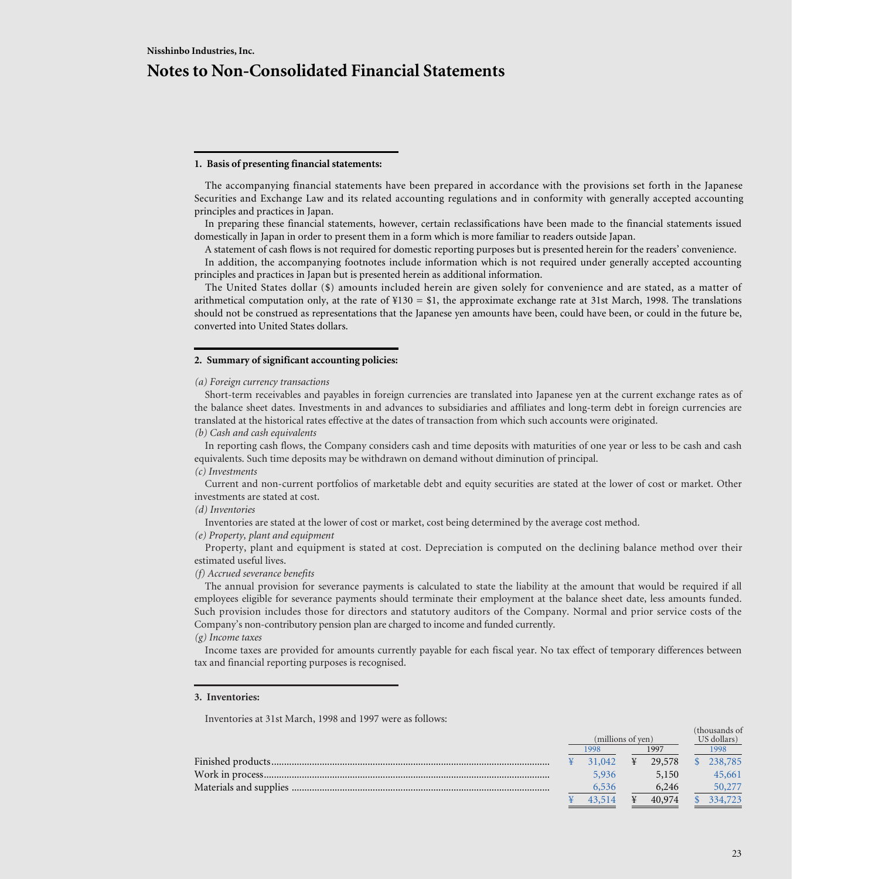### **1. Basis of presenting financial statements:**

The accompanying financial statements have been prepared in accordance with the provisions set forth in the Japanese Securities and Exchange Law and its related accounting regulations and in conformity with generally accepted accounting principles and practices in Japan.

In preparing these financial statements, however, certain reclassifications have been made to the financial statements issued domestically in Japan in order to present them in a form which is more familiar to readers outside Japan.

A statement of cash flows is not required for domestic reporting purposes but is presented herein for the readers' convenience.

In addition, the accompanying footnotes include information which is not required under generally accepted accounting principles and practices in Japan but is presented herein as additional information.

The United States dollar (\$) amounts included herein are given solely for convenience and are stated, as a matter of arithmetical computation only, at the rate of  $\text{\#}130 = \text{\$}1$ , the approximate exchange rate at 31st March, 1998. The translations should not be construed as representations that the Japanese yen amounts have been, could have been, or could in the future be, converted into United States dollars.

### **2. Summary of significant accounting policies:**

*(a) Foreign currency transactions*

Short-term receivables and payables in foreign currencies are translated into Japanese yen at the current exchange rates as of the balance sheet dates. Investments in and advances to subsidiaries and affiliates and long-term debt in foreign currencies are translated at the historical rates effective at the dates of transaction from which such accounts were originated.

*(b) Cash and cash equivalents*

In reporting cash flows, the Company considers cash and time deposits with maturities of one year or less to be cash and cash equivalents. Such time deposits may be withdrawn on demand without diminution of principal.

## *(c) Investments*

Current and non-current portfolios of marketable debt and equity securities are stated at the lower of cost or market. Other investments are stated at cost.

*(d) Inventories*

Inventories are stated at the lower of cost or market, cost being determined by the average cost method.

*(e) Property, plant and equipment*

Property, plant and equipment is stated at cost. Depreciation is computed on the declining balance method over their estimated useful lives.

*(f) Accrued severance benefits*

The annual provision for severance payments is calculated to state the liability at the amount that would be required if all employees eligible for severance payments should terminate their employment at the balance sheet date, less amounts funded. Such provision includes those for directors and statutory auditors of the Company. Normal and prior service costs of the Company's non-contributory pension plan are charged to income and funded currently.

### *(g) Income taxes*

Income taxes are provided for amounts currently payable for each fiscal year. No tax effect of temporary differences between tax and financial reporting purposes is recognised.

### **3. Inventories:**

Inventories at 31st March, 1998 and 1997 were as follows:

|  | (millions of yen) |   |        |      | дноизаниз оп<br>US dollars) |
|--|-------------------|---|--------|------|-----------------------------|
|  | 1998              |   | 1997   | 1998 |                             |
|  | 31,042            | ¥ | 29,578 |      | 238,785                     |
|  | 5.936             |   | 5,150  |      | 45,661                      |
|  | 6,536             |   | 6,246  |      | 50,277                      |
|  | 43.514            |   | 40,974 |      | 334,723                     |

(thousands of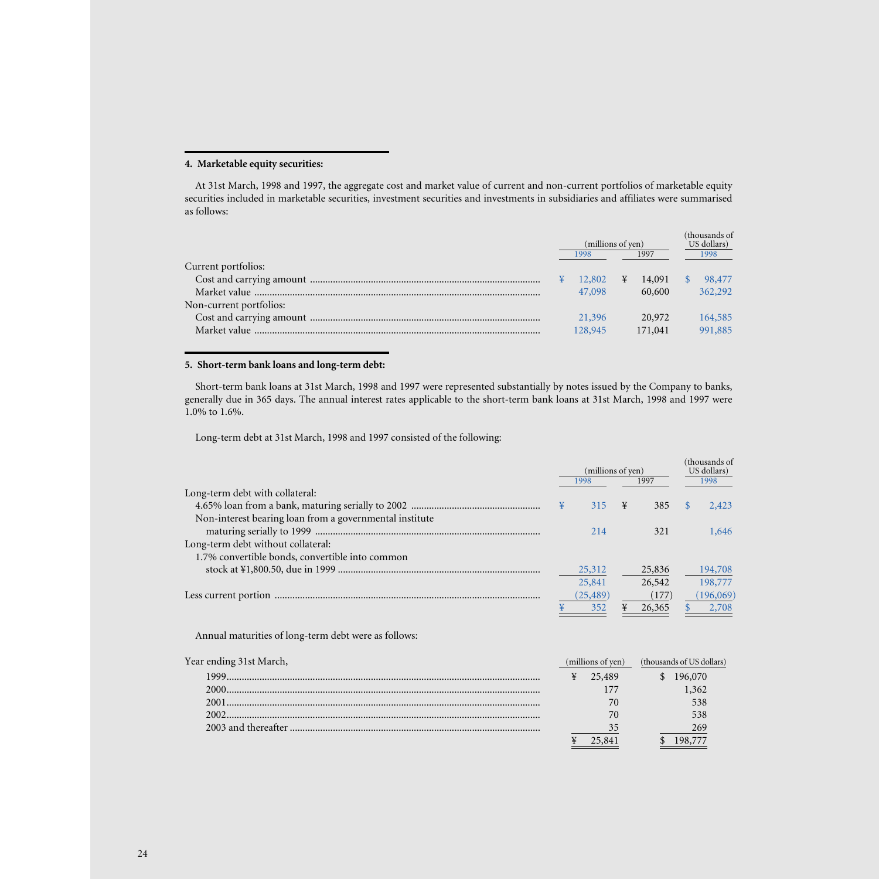## **4. Marketable equity securities:**

At 31st March, 1998 and 1997, the aggregate cost and market value of current and non-current portfolios of marketable equity securities included in marketable securities, investment securities and investments in subsidiaries and affiliates were summarised as follows:

|                         | (millions of yen)<br>1997<br>1998 |   | (thousands of<br>US dollars)<br>1998 |         |
|-------------------------|-----------------------------------|---|--------------------------------------|---------|
| Current portfolios:     |                                   |   |                                      |         |
|                         | 12,802                            | ¥ | 14,091                               | 98,477  |
|                         | 47,098                            |   | 60,600                               | 362,292 |
| Non-current portfolios: |                                   |   |                                      |         |
|                         | 21,396                            |   | 20,972                               | 164,585 |
|                         | 128,945                           |   | 171,041                              | 991,885 |
|                         |                                   |   |                                      |         |

## **5. Short-term bank loans and long-term debt:**

Short-term bank loans at 31st March, 1998 and 1997 were represented substantially by notes issued by the Company to banks, generally due in 365 days. The annual interest rates applicable to the short-term bank loans at 31st March, 1998 and 1997 were 1.0% to 1.6%.

Long-term debt at 31st March, 1998 and 1997 consisted of the following:

|                                                         |              | (millions of yen) |   |                           | (thousands of<br>US dollars) |           |  |
|---------------------------------------------------------|--------------|-------------------|---|---------------------------|------------------------------|-----------|--|
|                                                         |              | 1998              |   | 1997                      | 1998                         |           |  |
| Long-term debt with collateral:                         |              |                   |   |                           |                              |           |  |
|                                                         | ¥            | 315               | ¥ | 385                       | <sup>\$</sup>                | 2.423     |  |
| Non-interest bearing loan from a governmental institute |              |                   |   |                           |                              |           |  |
|                                                         |              | 214               |   | 321                       |                              | 1,646     |  |
| Long-term debt without collateral:                      |              |                   |   |                           |                              |           |  |
| 1.7% convertible bonds, convertible into common         |              |                   |   |                           |                              |           |  |
|                                                         |              | 25,312            |   | 25,836                    |                              | 194,708   |  |
|                                                         |              | 25,841            |   | 26,542                    |                              | 198,777   |  |
|                                                         |              | (25, 489)         |   | (177)                     |                              | (196,069) |  |
|                                                         |              | 352               |   | 26,365                    |                              | 2,708     |  |
| Annual maturities of long-term debt were as follows:    |              |                   |   |                           |                              |           |  |
| Year ending 31st March,                                 |              | (millions of yen) |   | (thousands of US dollars) |                              |           |  |
| 1000                                                    | $Y = 25.489$ |                   |   | 4.196070                  |                              |           |  |

| 1999  | 25.489 | 196.070 |
|-------|--------|---------|
| 2000. |        | .362    |
| 2001  |        | 538     |
| 2002  |        | 538     |
|       |        | 269     |
|       |        |         |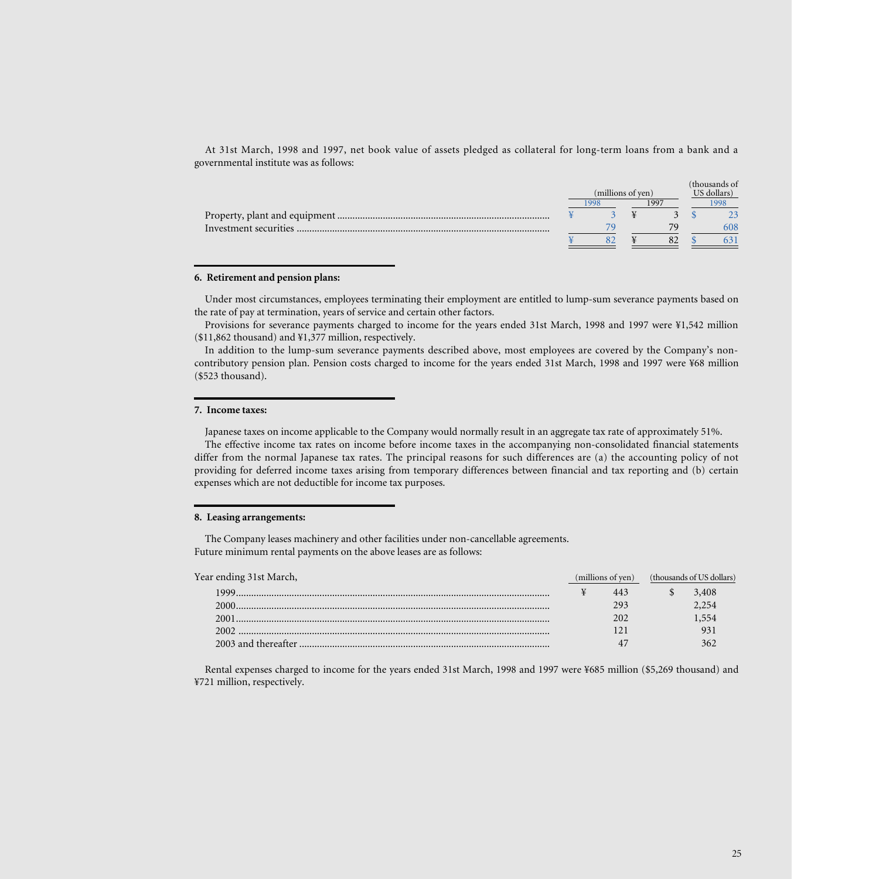At 31st March, 1998 and 1997, net book value of assets pledged as collateral for long-term loans from a bank and a governmental institute was as follows:

|                        |  | (millions of yen) | (thousands of<br>US dollars) |  |  |      |  |
|------------------------|--|-------------------|------------------------------|--|--|------|--|
|                        |  | -998              | 1997                         |  |  | 1998 |  |
|                        |  |                   |                              |  |  |      |  |
| Investment securities. |  |                   |                              |  |  | 608  |  |
|                        |  |                   |                              |  |  |      |  |

#### **6. Retirement and pension plans:**

Under most circumstances, employees terminating their employment are entitled to lump-sum severance payments based on the rate of pay at termination, years of service and certain other factors.

Provisions for severance payments charged to income for the years ended 31st March, 1998 and 1997 were ¥1,542 million (\$11,862 thousand) and ¥1,377 million, respectively.

In addition to the lump-sum severance payments described above, most employees are covered by the Company's noncontributory pension plan. Pension costs charged to income for the years ended 31st March, 1998 and 1997 were ¥68 million (\$523 thousand).

### **7. Income taxes:**

Japanese taxes on income applicable to the Company would normally result in an aggregate tax rate of approximately 51%.

The effective income tax rates on income before income taxes in the accompanying non-consolidated financial statements differ from the normal Japanese tax rates. The principal reasons for such differences are (a) the accounting policy of not providing for deferred income taxes arising from temporary differences between financial and tax reporting and (b) certain expenses which are not deductible for income tax purposes.

### **8. Leasing arrangements:**

The Company leases machinery and other facilities under non-cancellable agreements. Future minimum rental payments on the above leases are as follows:

| Year ending 31st March, | (millions of yen) | (thousands of US dollars) |  |
|-------------------------|-------------------|---------------------------|--|
| 1999 -                  | 443               | 3,408                     |  |
|                         | 293               | 2.254                     |  |
| 2001                    | 202               | .554                      |  |
| 2002                    |                   |                           |  |
|                         |                   |                           |  |
|                         |                   |                           |  |

Rental expenses charged to income for the years ended 31st March, 1998 and 1997 were ¥685 million (\$5,269 thousand) and ¥721 million, respectively.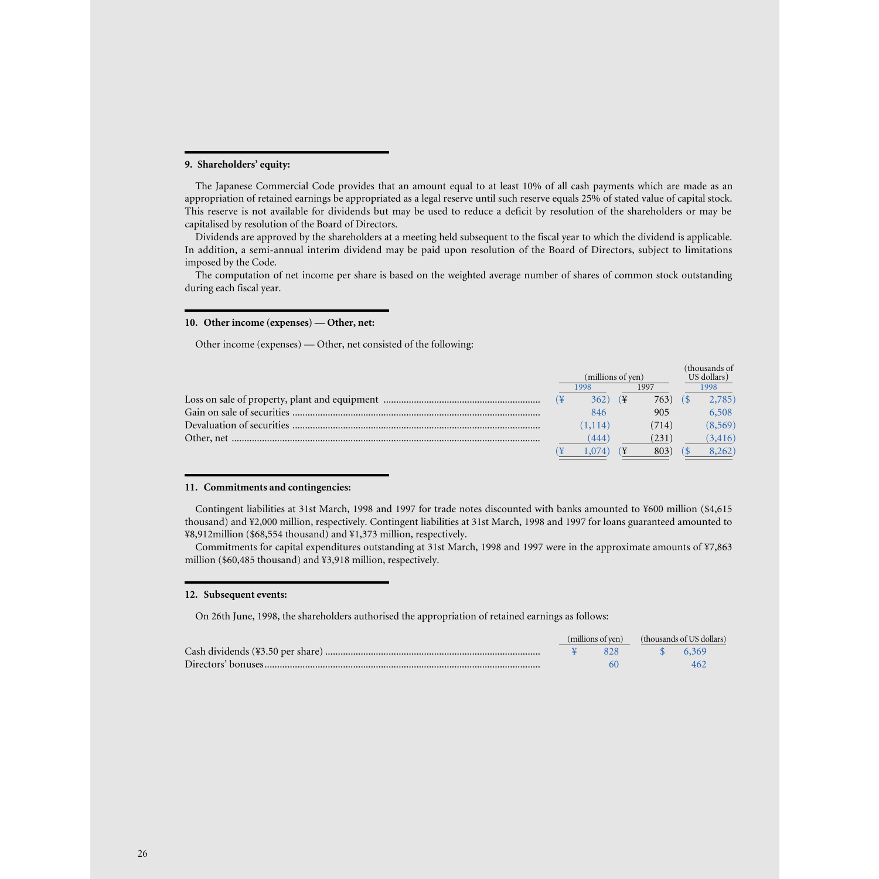### **9. Shareholders' equity:**

The Japanese Commercial Code provides that an amount equal to at least 10% of all cash payments which are made as an appropriation of retained earnings be appropriated as a legal reserve until such reserve equals 25% of stated value of capital stock. This reserve is not available for dividends but may be used to reduce a deficit by resolution of the shareholders or may be capitalised by resolution of the Board of Directors.

Dividends are approved by the shareholders at a meeting held subsequent to the fiscal year to which the dividend is applicable. In addition, a semi-annual interim dividend may be paid upon resolution of the Board of Directors, subject to limitations imposed by the Code.

The computation of net income per share is based on the weighted average number of shares of common stock outstanding during each fiscal year.

### **10. Other income (expenses) — Other, net:**

Other income (expenses) — Other, net consisted of the following:

|                   |              |    |       |             | (thousands of |  |
|-------------------|--------------|----|-------|-------------|---------------|--|
| (millions of yen) |              |    |       | US dollars) |               |  |
|                   | 1997<br>1998 |    |       | 1998        |               |  |
|                   | 362)         | (¥ | 763)  |             | 2,785)        |  |
|                   | 846          |    | 905   |             | 6,508         |  |
|                   | (1,114)      |    | (714) |             | (8, 569)      |  |
|                   | (444)        |    | (231) |             | (3, 416)      |  |
|                   |              |    | 803   |             | 8,262)        |  |

### **11. Commitments and contingencies:**

Contingent liabilities at 31st March, 1998 and 1997 for trade notes discounted with banks amounted to ¥600 million (\$4,615 thousand) and ¥2,000 million, respectively. Contingent liabilities at 31st March, 1998 and 1997 for loans guaranteed amounted to ¥8,912million (\$68,554 thousand) and ¥1,373 million, respectively.

Commitments for capital expenditures outstanding at 31st March, 1998 and 1997 were in the approximate amounts of ¥7,863 million (\$60,485 thousand) and ¥3,918 million, respectively.

#### **12. Subsequent events:**

On 26th June, 1998, the shareholders authorised the appropriation of retained earnings as follows:

|  | (millions of yen) | (thousands of US dollars) |  |
|--|-------------------|---------------------------|--|
|  |                   | \$6,369                   |  |
|  |                   |                           |  |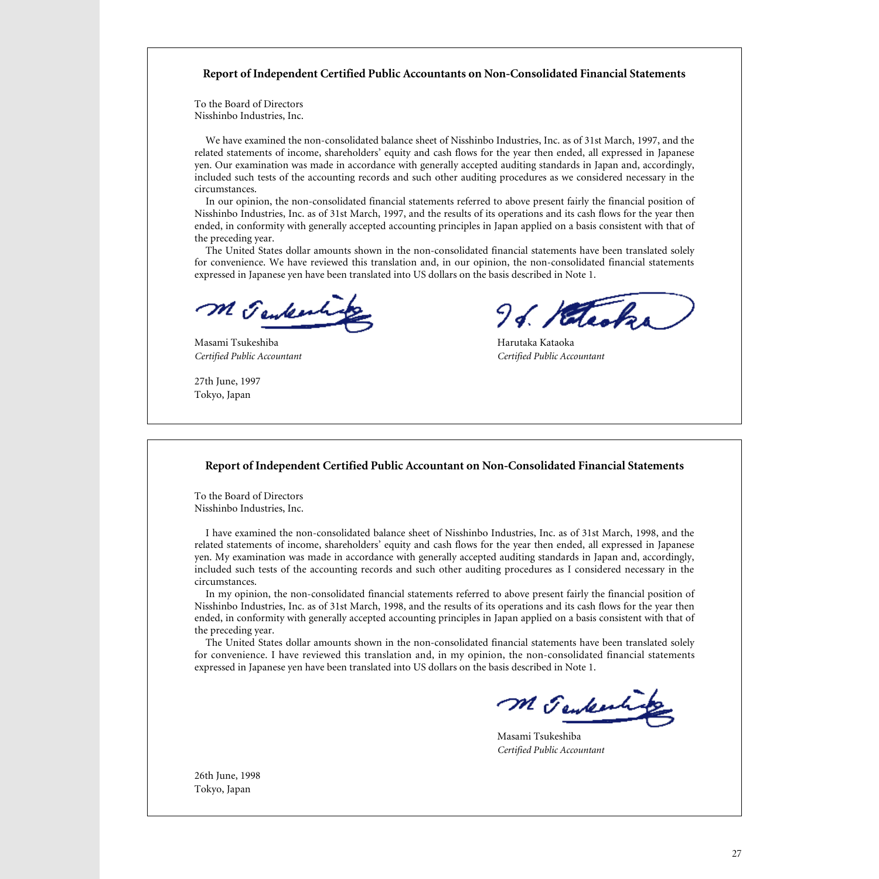# **Report of Independent Certified Public Accountants on Non-Consolidated Financial Statements**

To the Board of Directors Nisshinbo Industries, Inc.

We have examined the non-consolidated balance sheet of Nisshinbo Industries, Inc. as of 31st March, 1997, and the related statements of income, shareholders' equity and cash flows for the year then ended, all expressed in Japanese yen. Our examination was made in accordance with generally accepted auditing standards in Japan and, accordingly, included such tests of the accounting records and such other auditing procedures as we considered necessary in the circumstances.

In our opinion, the non-consolidated financial statements referred to above present fairly the financial position of Nisshinbo Industries, Inc. as of 31st March, 1997, and the results of its operations and its cash flows for the year then ended, in conformity with generally accepted accounting principles in Japan applied on a basis consistent with that of the preceding year.

The United States dollar amounts shown in the non-consolidated financial statements have been translated solely for convenience. We have reviewed this translation and, in our opinion, the non-consolidated financial statements expressed in Japanese yen have been translated into US dollars on the basis described in Note 1.

M Jenkenhip

Masami Tsukeshiba Harutaka Kataoka

27th June, 1997 Tokyo, Japan

96. Hetecks

*Certified Public Accountant Certified Public Accountant*

## **Report of Independent Certified Public Accountant on Non-Consolidated Financial Statements**

To the Board of Directors Nisshinbo Industries, Inc.

I have examined the non-consolidated balance sheet of Nisshinbo Industries, Inc. as of 31st March, 1998, and the related statements of income, shareholders' equity and cash flows for the year then ended, all expressed in Japanese yen. My examination was made in accordance with generally accepted auditing standards in Japan and, accordingly, included such tests of the accounting records and such other auditing procedures as I considered necessary in the circumstances.

In my opinion, the non-consolidated financial statements referred to above present fairly the financial position of Nisshinbo Industries, Inc. as of 31st March, 1998, and the results of its operations and its cash flows for the year then ended, in conformity with generally accepted accounting principles in Japan applied on a basis consistent with that of the preceding year.

The United States dollar amounts shown in the non-consolidated financial statements have been translated solely for convenience. I have reviewed this translation and, in my opinion, the non-consolidated financial statements expressed in Japanese yen have been translated into US dollars on the basis described in Note 1.

M Jenkenting

Masami Tsukeshiba *Certified Public Accountant*

26th June, 1998 Tokyo, Japan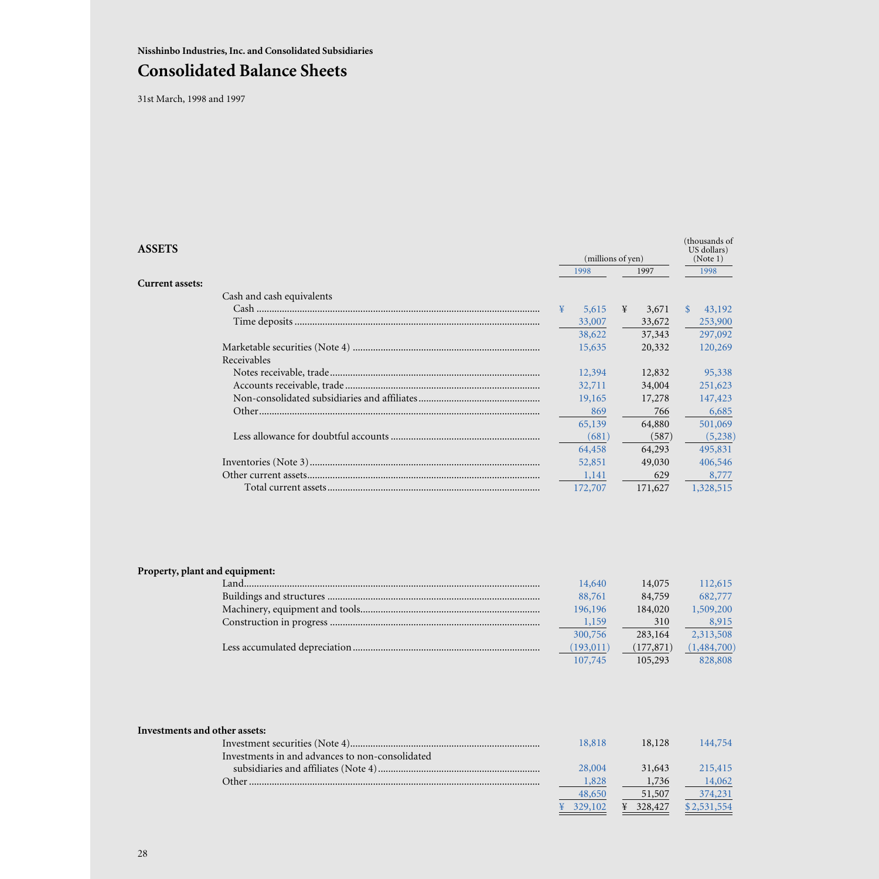**Nisshinbo Industries, Inc. and Consolidated Subsidiaries**

# **Consolidated Balance Sheets**

31st March, 1998 and 1997

| <b>ASSETS</b>             | (millions of yen) |              |   | (thousands of<br>US dollars)<br>(Note 1) |           |
|---------------------------|-------------------|--------------|---|------------------------------------------|-----------|
|                           |                   | 1997<br>1998 |   | 1998                                     |           |
| <b>Current assets:</b>    |                   |              |   |                                          |           |
| Cash and cash equivalents |                   |              |   |                                          |           |
|                           | ¥                 | 5,615        | ¥ | 3,671                                    | 43,192    |
|                           |                   | 33,007       |   | 33,672                                   | 253,900   |
|                           |                   | 38,622       |   | 37,343                                   | 297,092   |
|                           |                   | 15,635       |   | 20,332                                   | 120,269   |
| Receivables               |                   |              |   |                                          |           |
|                           |                   | 12,394       |   | 12,832                                   | 95,338    |
|                           |                   | 32,711       |   | 34,004                                   | 251,623   |
|                           |                   | 19,165       |   | 17,278                                   | 147,423   |
|                           |                   | 869          |   | 766                                      | 6,685     |
|                           |                   | 65,139       |   | 64,880                                   | 501,069   |
|                           |                   | (681)        |   | (587)                                    | (5,238)   |
|                           |                   | 64,458       |   | 64,293                                   | 495,831   |
|                           |                   | 52,851       |   | 49,030                                   | 406,546   |
|                           |                   | 1,141        |   | 629                                      | 8,777     |
|                           |                   | 172,707      |   | 171,627                                  | 1,328,515 |

# **Property, plant and equipment:**

| Land | 14,640    | 14,075     | 112,615     |
|------|-----------|------------|-------------|
|      | 88,761    | 84,759     | 682,777     |
|      | 196,196   | 184,020    | 1,509,200   |
|      | 1,159     | 310        | 8,915       |
|      | 300,756   | 283,164    | 2,313,508   |
|      | (193,011) | (177, 871) | (1,484,700) |
|      | 107,745   | 105,293    | 828,808     |

| Investments and other assets:                   |         |         |             |
|-------------------------------------------------|---------|---------|-------------|
|                                                 | 18,818  | 18,128  | 144,754     |
| Investments in and advances to non-consolidated |         |         |             |
|                                                 | 28,004  | 31,643  | 215,415     |
| ∩ther.                                          | 1,828   | 1,736   | 14,062      |
|                                                 | 48,650  | 51,507  | 374,231     |
|                                                 | 329.102 | 328,427 | \$2,531,554 |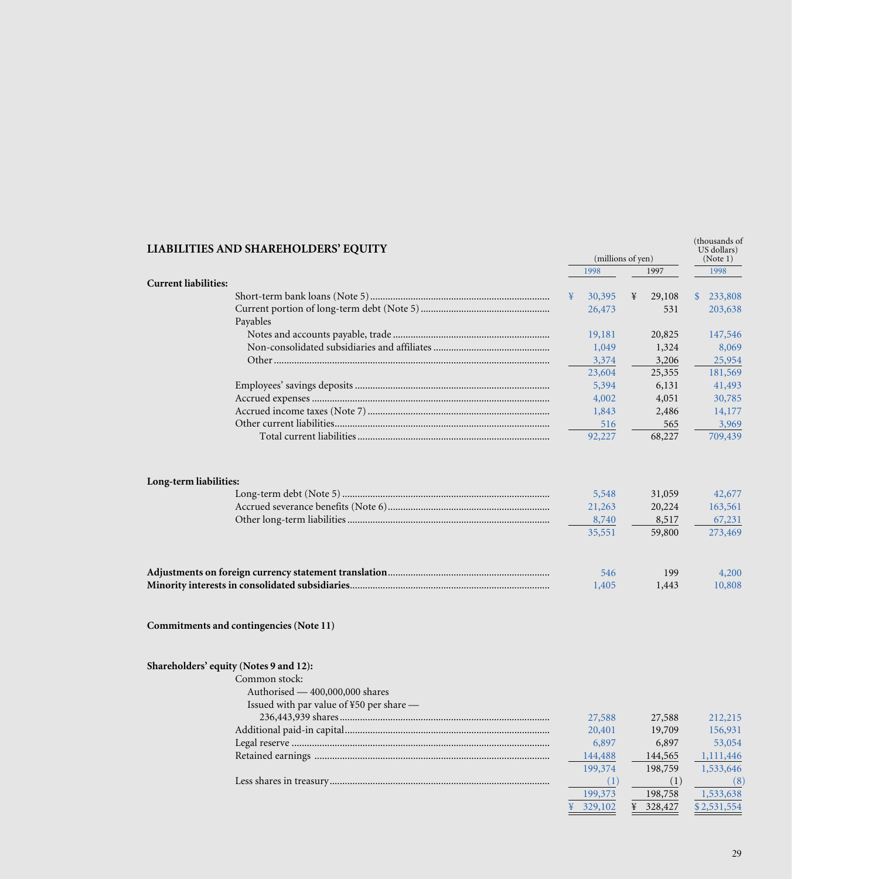| <b>LIABILITIES AND SHAREHOLDERS' EQUITY</b> |   |         |   |           | (millions of yen)       |  |  |  |  |  |  |  |  |  |  |  |  | (thousands of<br>US dollars)<br>(Note 1) |
|---------------------------------------------|---|---------|---|-----------|-------------------------|--|--|--|--|--|--|--|--|--|--|--|--|------------------------------------------|
|                                             |   | 1998    |   | 1997      | 1998                    |  |  |  |  |  |  |  |  |  |  |  |  |                                          |
| <b>Current liabilities:</b>                 |   |         |   |           |                         |  |  |  |  |  |  |  |  |  |  |  |  |                                          |
|                                             | ¥ | 30,395  | ¥ | 29,108    | 233,808<br>$\mathbb{S}$ |  |  |  |  |  |  |  |  |  |  |  |  |                                          |
|                                             |   | 26,473  |   | 531       | 203,638                 |  |  |  |  |  |  |  |  |  |  |  |  |                                          |
| Payables                                    |   |         |   |           |                         |  |  |  |  |  |  |  |  |  |  |  |  |                                          |
|                                             |   | 19,181  |   | 20,825    | 147,546                 |  |  |  |  |  |  |  |  |  |  |  |  |                                          |
|                                             |   | 1,049   |   | 1,324     | 8,069                   |  |  |  |  |  |  |  |  |  |  |  |  |                                          |
|                                             |   | 3,374   |   | 3,206     | 25,954                  |  |  |  |  |  |  |  |  |  |  |  |  |                                          |
|                                             |   | 23,604  |   | 25,355    | 181,569                 |  |  |  |  |  |  |  |  |  |  |  |  |                                          |
|                                             |   | 5,394   |   | 6,131     | 41,493                  |  |  |  |  |  |  |  |  |  |  |  |  |                                          |
|                                             |   | 4,002   |   | 4,051     | 30,785                  |  |  |  |  |  |  |  |  |  |  |  |  |                                          |
|                                             |   | 1,843   |   | 2,486     | 14,177                  |  |  |  |  |  |  |  |  |  |  |  |  |                                          |
|                                             |   | 516     |   | 565       | 3,969                   |  |  |  |  |  |  |  |  |  |  |  |  |                                          |
|                                             |   | 92,227  |   | 68,227    | 709,439                 |  |  |  |  |  |  |  |  |  |  |  |  |                                          |
| Long-term liabilities:                      |   |         |   |           |                         |  |  |  |  |  |  |  |  |  |  |  |  |                                          |
|                                             |   | 5,548   |   | 31,059    | 42,677                  |  |  |  |  |  |  |  |  |  |  |  |  |                                          |
|                                             |   | 21,263  |   | 20,224    | 163,561                 |  |  |  |  |  |  |  |  |  |  |  |  |                                          |
|                                             |   | 8,740   |   | 8,517     | 67,231                  |  |  |  |  |  |  |  |  |  |  |  |  |                                          |
|                                             |   | 35,551  |   | 59,800    | 273,469                 |  |  |  |  |  |  |  |  |  |  |  |  |                                          |
|                                             |   | 546     |   | 199       | 4,200                   |  |  |  |  |  |  |  |  |  |  |  |  |                                          |
|                                             |   | 1,405   |   | 1,443     | 10,808                  |  |  |  |  |  |  |  |  |  |  |  |  |                                          |
| Commitments and contingencies (Note 11)     |   |         |   |           |                         |  |  |  |  |  |  |  |  |  |  |  |  |                                          |
| Shareholders' equity (Notes 9 and 12):      |   |         |   |           |                         |  |  |  |  |  |  |  |  |  |  |  |  |                                          |
| Common stock:                               |   |         |   |           |                         |  |  |  |  |  |  |  |  |  |  |  |  |                                          |
| Authorised — 400,000,000 shares             |   |         |   |           |                         |  |  |  |  |  |  |  |  |  |  |  |  |                                          |
| Issued with par value of ¥50 per share —    |   |         |   |           |                         |  |  |  |  |  |  |  |  |  |  |  |  |                                          |
|                                             |   | 27,588  |   | 27,588    | 212,215                 |  |  |  |  |  |  |  |  |  |  |  |  |                                          |
|                                             |   | 20,401  |   | 19,709    | 156,931                 |  |  |  |  |  |  |  |  |  |  |  |  |                                          |
|                                             |   | 6,897   |   | 6,897     | 53,054                  |  |  |  |  |  |  |  |  |  |  |  |  |                                          |
|                                             |   | 144,488 |   | 144,565   | 1,111,446               |  |  |  |  |  |  |  |  |  |  |  |  |                                          |
|                                             |   | 199,374 |   | 198,759   | 1,533,646               |  |  |  |  |  |  |  |  |  |  |  |  |                                          |
|                                             |   | (1)     |   | (1)       | (8)                     |  |  |  |  |  |  |  |  |  |  |  |  |                                          |
|                                             |   | 199,373 |   | 198,758   | 1,533,638               |  |  |  |  |  |  |  |  |  |  |  |  |                                          |
|                                             |   | 329,102 |   | ¥ 328,427 | \$2,531,554             |  |  |  |  |  |  |  |  |  |  |  |  |                                          |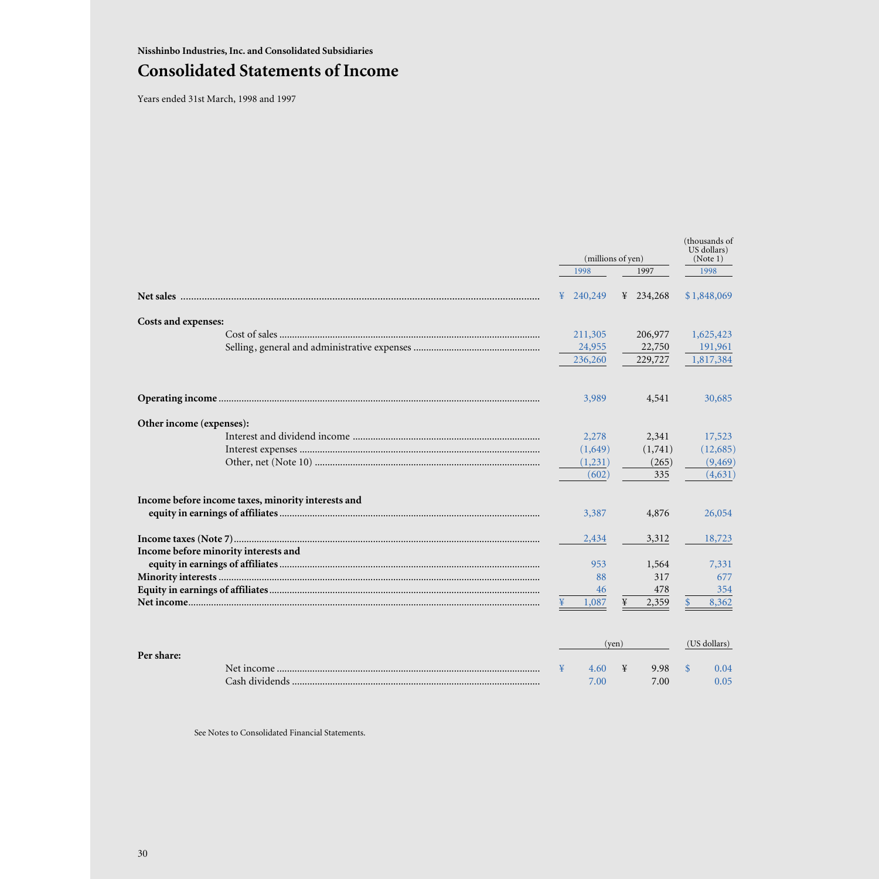# **Consolidated Statements of Income**

Years ended 31st March, 1998 and 1997

|                                                    | (millions of yen) | (thousands of<br>US dollars)<br>(Note 1) |              |
|----------------------------------------------------|-------------------|------------------------------------------|--------------|
|                                                    | 1998              | 1997                                     | 1998         |
|                                                    | 240,249<br>¥      | 234,268<br>¥                             | \$1,848,069  |
| Costs and expenses:                                |                   |                                          |              |
|                                                    | 211,305           | 206,977                                  | 1,625,423    |
|                                                    | 24,955            | 22,750                                   | 191,961      |
|                                                    | 236,260           | 229,727                                  | 1,817,384    |
|                                                    | 3,989             | 4,541                                    | 30,685       |
| Other income (expenses):                           |                   |                                          |              |
|                                                    | 2,278             | 2,341                                    | 17,523       |
|                                                    | (1,649)           | (1,741)                                  | (12,685)     |
|                                                    | (1,231)           | (265)                                    | (9, 469)     |
|                                                    | (602)             | 335                                      | (4,631)      |
| Income before income taxes, minority interests and |                   |                                          |              |
|                                                    | 3,387             | 4,876                                    | 26,054       |
|                                                    | 2,434             | 3,312                                    | 18,723       |
| Income before minority interests and               | 953               | 1,564                                    | 7,331        |
|                                                    | 88                | 317                                      | 677          |
|                                                    | 46                | 478                                      | 354          |
|                                                    | 1,087             | 2,359<br>¥                               | 8,362<br>\$  |
| Per share:                                         |                   | (yen)                                    | (US dollars) |

¥ 4.60 7.00 ¥ 9.98 7.00

\$ 0.04 0.05

Net income ........................................................................................................ Cash dividends ..................................................................................................

See Notes to Consolidated Financial Statements.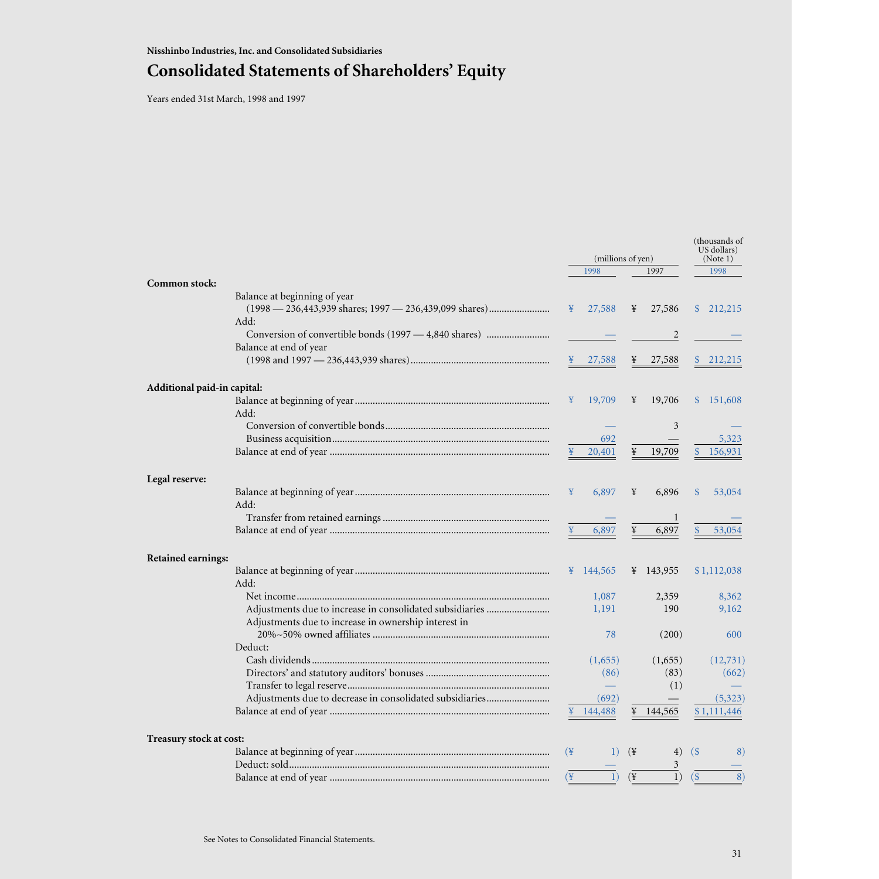# **Consolidated Statements of Shareholders' Equity**

Years ended 31st March, 1998 and 1997

|                             |                                                          | (millions of yen)    |                  |                 |           | (thousands of<br>US dollars)<br>(Note 1) |             |
|-----------------------------|----------------------------------------------------------|----------------------|------------------|-----------------|-----------|------------------------------------------|-------------|
|                             |                                                          |                      | 1998             |                 | 1997      |                                          | 1998        |
| Common stock:               | Balance at beginning of year                             |                      |                  |                 |           |                                          |             |
|                             | (1998 — 236,443,939 shares; 1997 — 236,439,099 shares)   | ¥                    | 27,588           | ¥               | 27,586    |                                          | \$212,215   |
|                             | Add:                                                     |                      |                  |                 |           |                                          |             |
|                             |                                                          |                      |                  |                 | 2         |                                          |             |
|                             | Balance at end of year                                   |                      |                  |                 |           |                                          |             |
|                             |                                                          |                      | 27,588           |                 | 27,588    |                                          | 212,215     |
| Additional paid-in capital: |                                                          |                      |                  |                 |           |                                          |             |
|                             |                                                          | ¥                    | 19,709           | ¥               | 19,706    |                                          | \$151,608   |
|                             | Add:                                                     |                      |                  |                 |           |                                          |             |
|                             |                                                          |                      |                  |                 | 3         |                                          |             |
|                             |                                                          |                      | 692              |                 |           |                                          | 5,323       |
|                             |                                                          | ¥                    | 20,401           | ¥               | 19,709    |                                          | 156,931     |
| Legal reserve:              |                                                          |                      |                  |                 |           |                                          |             |
|                             |                                                          | ¥                    | 6,897            | ¥               | 6,896     | <b>S</b>                                 | 53,054      |
|                             | Add:                                                     |                      |                  |                 |           |                                          |             |
|                             |                                                          |                      |                  |                 | 1         |                                          |             |
|                             |                                                          |                      | 6,897            | ¥               | 6,897     |                                          | 53,054      |
| Retained earnings:          |                                                          |                      |                  |                 |           |                                          |             |
|                             |                                                          |                      | ¥ 144,565        |                 | ¥ 143,955 |                                          | \$1,112,038 |
|                             | Add:                                                     |                      |                  |                 |           |                                          |             |
|                             |                                                          |                      | 1,087            |                 | 2,359     |                                          | 8,362       |
|                             |                                                          |                      | 1,191            |                 | 190       |                                          | 9,162       |
|                             | Adjustments due to increase in ownership interest in     |                      |                  |                 |           |                                          |             |
|                             |                                                          |                      | 78               |                 | (200)     |                                          | 600         |
|                             | Deduct:                                                  |                      |                  |                 |           |                                          |             |
|                             |                                                          |                      | (1,655)          |                 | (1,655)   |                                          | (12,731)    |
|                             |                                                          |                      | (86)             |                 | (83)      |                                          | (662)       |
|                             |                                                          |                      |                  |                 | (1)       |                                          |             |
|                             | Adjustments due to decrease in consolidated subsidiaries |                      | (692)            |                 |           |                                          | (5,323)     |
|                             |                                                          |                      | 144,488          |                 | 144,565   |                                          | \$1,111,446 |
| Treasury stock at cost:     |                                                          |                      |                  |                 |           |                                          |             |
|                             |                                                          | $(\frac{1}{2})$      | 1)               | $(\frac{1}{2})$ | 4)        | $\left( \frac{1}{2} \right)$             | 8)          |
|                             |                                                          |                      |                  |                 | 3         |                                          |             |
|                             |                                                          | $(\frac{\gamma}{2})$ | $\left(1\right)$ | $(\frac{1}{2})$ | 1)        | $($ \$                                   | 8)          |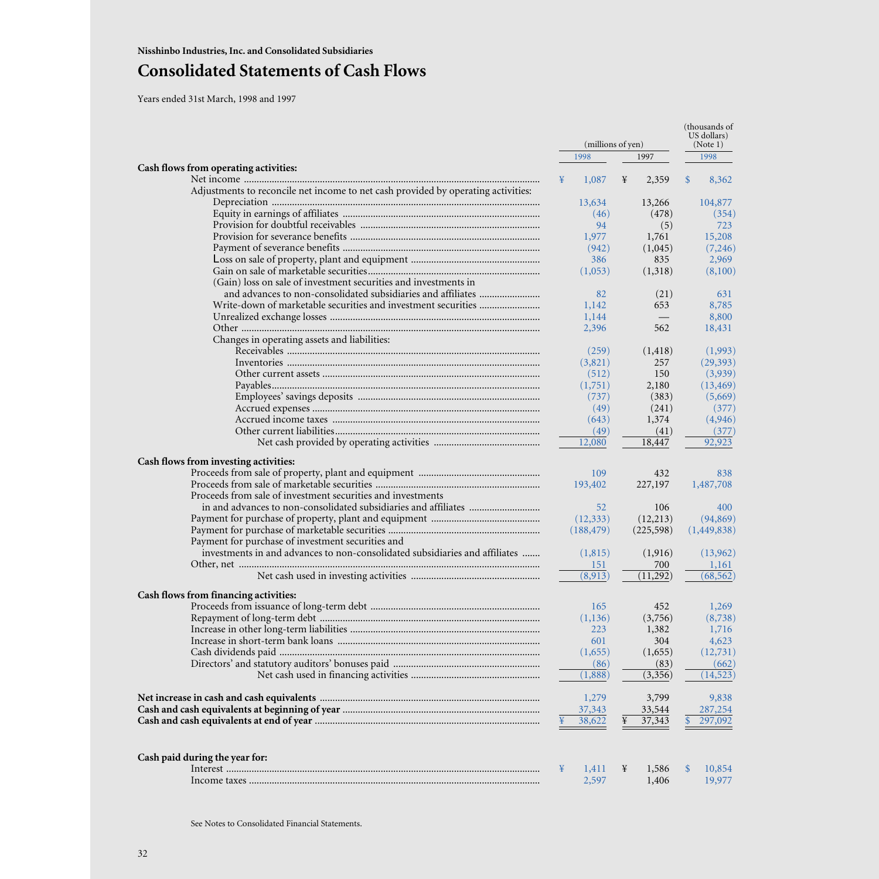# **Consolidated Statements of Cash Flows**

Years ended 31st March, 1998 and 1997

|                                                                                   |                  | (thousands of<br>US dollars) |                       |  |
|-----------------------------------------------------------------------------------|------------------|------------------------------|-----------------------|--|
|                                                                                   |                  | (millions of yen)            | (Note 1)              |  |
|                                                                                   | 1998             | 1997                         | 1998                  |  |
| Cash flows from operating activities:                                             |                  |                              |                       |  |
|                                                                                   | 1,087<br>¥       | ¥<br>2,359                   | $\mathbb{S}$<br>8,362 |  |
| Adjustments to reconcile net income to net cash provided by operating activities: |                  |                              |                       |  |
|                                                                                   | 13,634           | 13,266                       | 104,877               |  |
|                                                                                   | (46)             | (478)                        | (354)                 |  |
|                                                                                   | 94               | (5)                          | 723                   |  |
|                                                                                   | 1,977            | 1,761                        | 15,208                |  |
|                                                                                   | (942)            | (1,045)                      | (7,246)               |  |
|                                                                                   | 386              | 835                          | 2,969                 |  |
|                                                                                   | (1,053)          | (1,318)                      | (8,100)               |  |
| (Gain) loss on sale of investment securities and investments in                   |                  |                              |                       |  |
|                                                                                   | 82               | (21)                         | 631                   |  |
|                                                                                   | 1,142            | 653                          | 8,785                 |  |
|                                                                                   | 1,144            |                              | 8,800                 |  |
|                                                                                   | 2,396            | 562                          | 18,431                |  |
| Changes in operating assets and liabilities:                                      |                  |                              |                       |  |
|                                                                                   | (259)            | (1, 418)                     | (1,993)               |  |
|                                                                                   | (3,821)          | 257                          | (29, 393)             |  |
|                                                                                   | (512)            | 150                          | (3,939)               |  |
|                                                                                   | (1,751)          | 2,180                        | (13, 469)             |  |
|                                                                                   | (737)            | (383)                        | (5,669)               |  |
|                                                                                   | (49)             | (241)                        | (377)                 |  |
|                                                                                   | (643)            | 1,374                        | (4,946)               |  |
|                                                                                   | (49)             | (41)                         | (377)                 |  |
|                                                                                   | 12,080           | 18,447                       | 92,923                |  |
|                                                                                   |                  |                              |                       |  |
| Cash flows from investing activities:                                             |                  |                              |                       |  |
|                                                                                   | 109              | 432                          | 838                   |  |
|                                                                                   | 193,402          | 227,197                      | 1,487,708             |  |
| Proceeds from sale of investment securities and investments                       |                  |                              |                       |  |
| in and advances to non-consolidated subsidiaries and affiliates                   | 52               | 106                          | 400                   |  |
|                                                                                   | (12, 333)        | (12,213)                     | (94, 869)             |  |
|                                                                                   | (188, 479)       | (225,598)                    | (1,449,838)           |  |
| Payment for purchase of investment securities and                                 |                  |                              |                       |  |
| investments in and advances to non-consolidated subsidiaries and affiliates       | (1,815)          | (1,916)                      | (13,962)              |  |
|                                                                                   | 151              | 700                          | 1,161                 |  |
|                                                                                   | (8,913)          | (11,292)                     | (68, 562)             |  |
|                                                                                   |                  |                              |                       |  |
| Cash flows from financing activities:                                             |                  |                              |                       |  |
|                                                                                   | 165              | 452                          | 1,269                 |  |
|                                                                                   | (1, 136)         | (3,756)                      | (8,738)               |  |
|                                                                                   | 223              | 1,382                        | 1,716                 |  |
|                                                                                   | 601              | 304                          | 4,623                 |  |
|                                                                                   | (1,655)          | (1,655)                      | (12,731)              |  |
|                                                                                   | (86)             | (83)                         | (662)                 |  |
|                                                                                   | (1,888)          | (3,356)                      | (14, 523)             |  |
|                                                                                   | 1,279            |                              |                       |  |
|                                                                                   |                  | 3,799                        | 9,838<br>287,254      |  |
|                                                                                   | 37,343<br>38,622 | 33,544<br>37,343<br>¥        | 297,092               |  |
|                                                                                   |                  |                              |                       |  |
| Cash paid during the year for:                                                    |                  |                              |                       |  |
|                                                                                   | ¥<br>1,411       | 1,586<br>¥                   | 10,854<br>\$          |  |
|                                                                                   | 2,597            | 1,406                        | 19,977                |  |
|                                                                                   |                  |                              |                       |  |

See Notes to Consolidated Financial Statements.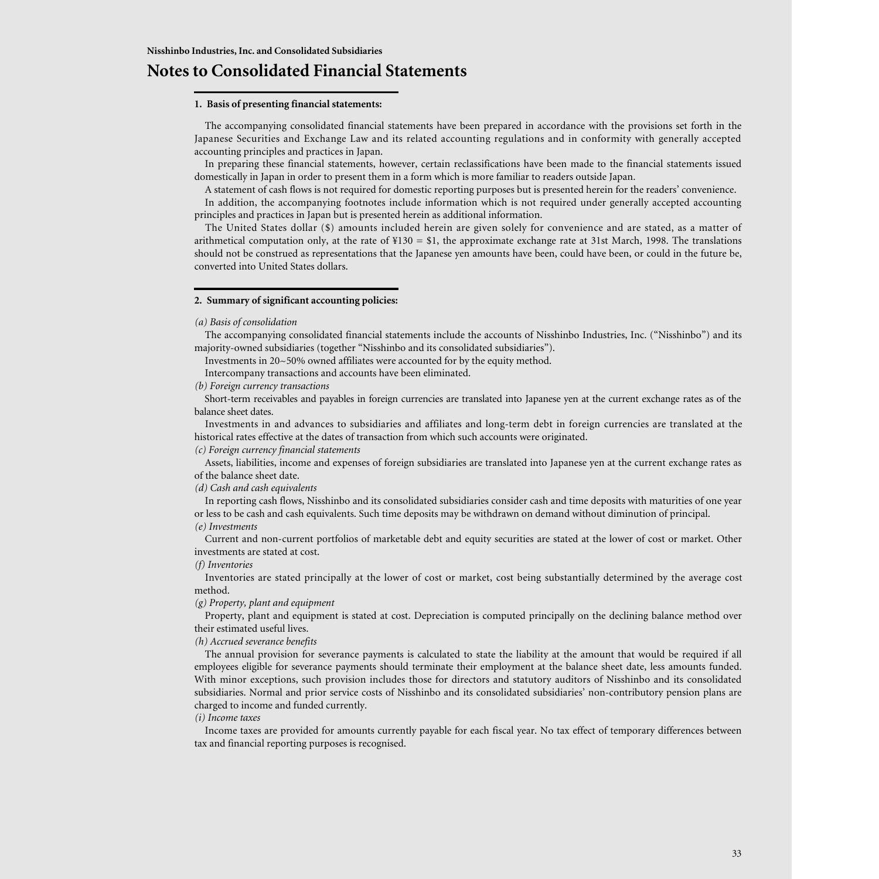# **Notes to Consolidated Financial Statements**

### **1. Basis of presenting financial statements:**

The accompanying consolidated financial statements have been prepared in accordance with the provisions set forth in the Japanese Securities and Exchange Law and its related accounting regulations and in conformity with generally accepted accounting principles and practices in Japan.

In preparing these financial statements, however, certain reclassifications have been made to the financial statements issued domestically in Japan in order to present them in a form which is more familiar to readers outside Japan.

A statement of cash flows is not required for domestic reporting purposes but is presented herein for the readers' convenience.

In addition, the accompanying footnotes include information which is not required under generally accepted accounting principles and practices in Japan but is presented herein as additional information.

The United States dollar (\$) amounts included herein are given solely for convenience and are stated, as a matter of arithmetical computation only, at the rate of  $\frac{1}{4}130 = \frac{1}{10}$ , the approximate exchange rate at 31st March, 1998. The translations should not be construed as representations that the Japanese yen amounts have been, could have been, or could in the future be, converted into United States dollars.

### **2. Summary of significant accounting policies:**

### *(a) Basis of consolidation*

The accompanying consolidated financial statements include the accounts of Nisshinbo Industries, Inc. ("Nisshinbo") and its majority-owned subsidiaries (together "Nisshinbo and its consolidated subsidiaries").

Investments in 20~50% owned affiliates were accounted for by the equity method.

Intercompany transactions and accounts have been eliminated.

*(b) Foreign currency transactions*

Short-term receivables and payables in foreign currencies are translated into Japanese yen at the current exchange rates as of the balance sheet dates.

Investments in and advances to subsidiaries and affiliates and long-term debt in foreign currencies are translated at the historical rates effective at the dates of transaction from which such accounts were originated.

### *(c) Foreign currency financial statements*

Assets, liabilities, income and expenses of foreign subsidiaries are translated into Japanese yen at the current exchange rates as of the balance sheet date.

### *(d) Cash and cash equivalents*

In reporting cash flows, Nisshinbo and its consolidated subsidiaries consider cash and time deposits with maturities of one year or less to be cash and cash equivalents. Such time deposits may be withdrawn on demand without diminution of principal.

# *(e) Investments*

Current and non-current portfolios of marketable debt and equity securities are stated at the lower of cost or market. Other investments are stated at cost.

### *(f) Inventories*

Inventories are stated principally at the lower of cost or market, cost being substantially determined by the average cost method.

*(g) Property, plant and equipment*

Property, plant and equipment is stated at cost. Depreciation is computed principally on the declining balance method over their estimated useful lives.

### *(h) Accrued severance benefits*

The annual provision for severance payments is calculated to state the liability at the amount that would be required if all employees eligible for severance payments should terminate their employment at the balance sheet date, less amounts funded. With minor exceptions, such provision includes those for directors and statutory auditors of Nisshinbo and its consolidated subsidiaries. Normal and prior service costs of Nisshinbo and its consolidated subsidiaries' non-contributory pension plans are charged to income and funded currently.

### *(i) Income taxes*

Income taxes are provided for amounts currently payable for each fiscal year. No tax effect of temporary differences between tax and financial reporting purposes is recognised.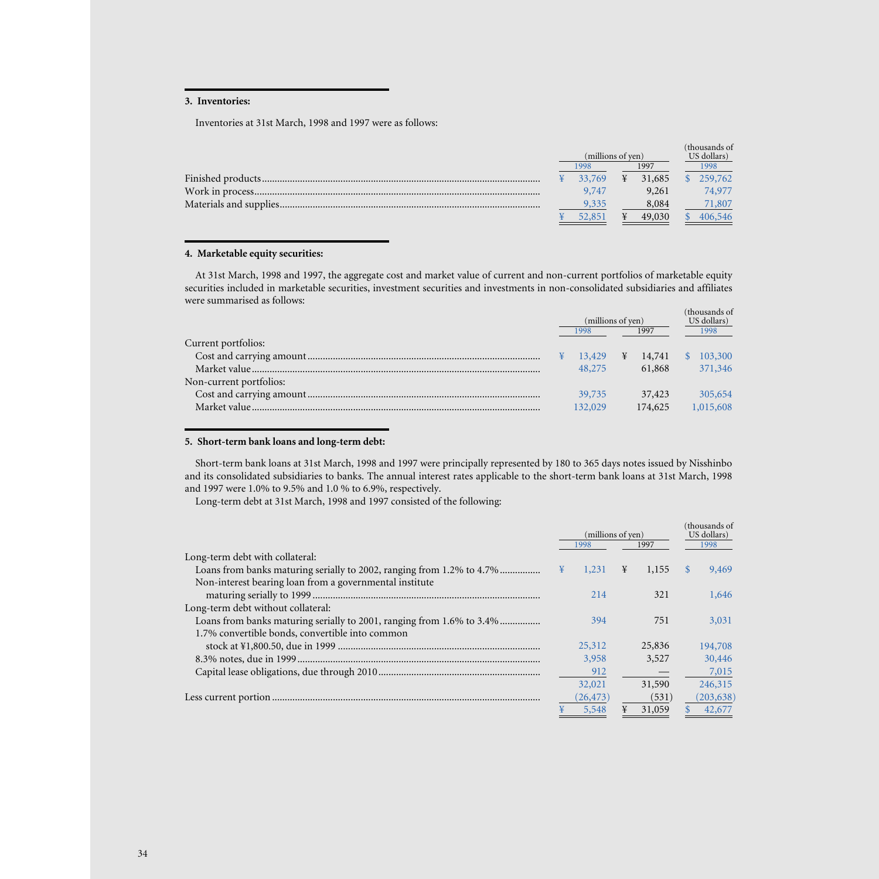## **3. Inventories:**

Inventories at 31st March, 1998 and 1997 were as follows:

|  | (millions of yen) |        |      | (thousands of<br>US dollars) |  |         |  |  |  |      |
|--|-------------------|--------|------|------------------------------|--|---------|--|--|--|------|
|  | 1998              |        | 1997 |                              |  |         |  |  |  | 1998 |
|  |                   | 33.769 | ¥    | 31,685                       |  | 259,762 |  |  |  |      |
|  |                   | 9,747  |      | 9.261                        |  | 74,977  |  |  |  |      |
|  |                   | 9,335  |      | 8,084                        |  | 71,807  |  |  |  |      |
|  |                   | 52.851 |      | 49,030                       |  | 406,546 |  |  |  |      |

## **4. Marketable equity securities:**

At 31st March, 1998 and 1997, the aggregate cost and market value of current and non-current portfolios of marketable equity securities included in marketable securities, investment securities and investments in non-consolidated subsidiaries and affiliates were summarised as follows:

|                         | (millions of yen) |         |      | (thousands of<br>US dollars) |          |           |  |  |  |  |  |      |
|-------------------------|-------------------|---------|------|------------------------------|----------|-----------|--|--|--|--|--|------|
|                         | 1998              |         | 1997 |                              |          |           |  |  |  |  |  | 1998 |
| Current portfolios:     |                   |         |      |                              |          |           |  |  |  |  |  |      |
|                         |                   | 13,429  | ¥    | 14,741                       | <b>S</b> | 103,300   |  |  |  |  |  |      |
|                         |                   | 48,275  |      | 61,868                       |          | 371,346   |  |  |  |  |  |      |
| Non-current portfolios: |                   |         |      |                              |          |           |  |  |  |  |  |      |
|                         |                   | 39,735  |      | 37,423                       |          | 305,654   |  |  |  |  |  |      |
|                         |                   | 132,029 |      | 174,625                      |          | 1,015,608 |  |  |  |  |  |      |
|                         |                   |         |      |                              |          |           |  |  |  |  |  |      |

### **5. Short-term bank loans and long-term debt:**

Short-term bank loans at 31st March, 1998 and 1997 were principally represented by 180 to 365 days notes issued by Nisshinbo and its consolidated subsidiaries to banks. The annual interest rates applicable to the short-term bank loans at 31st March, 1998 and 1997 were 1.0% to 9.5% and 1.0 % to 6.9%, respectively.

Long-term debt at 31st March, 1998 and 1997 consisted of the following:

|                                                                       |   | (millions of yen)<br>1998<br>1997 |   |        |               |            |  |  |  |  |  |  |  |  | (thousands of<br>US dollars)<br>1998 |
|-----------------------------------------------------------------------|---|-----------------------------------|---|--------|---------------|------------|--|--|--|--|--|--|--|--|--------------------------------------|
| Long-term debt with collateral:                                       |   |                                   |   |        |               |            |  |  |  |  |  |  |  |  |                                      |
| Loans from banks maturing serially to 2002, ranging from 1.2% to 4.7% | ¥ | 1,231                             | ¥ | 1,155  | <sup>\$</sup> | 9,469      |  |  |  |  |  |  |  |  |                                      |
| Non-interest bearing loan from a governmental institute               |   |                                   |   |        |               |            |  |  |  |  |  |  |  |  |                                      |
|                                                                       |   | 214                               |   | 321    |               | 1,646      |  |  |  |  |  |  |  |  |                                      |
| Long-term debt without collateral:                                    |   |                                   |   |        |               |            |  |  |  |  |  |  |  |  |                                      |
| Loans from banks maturing serially to 2001, ranging from 1.6% to 3.4% |   | 394                               |   | 751    |               | 3.031      |  |  |  |  |  |  |  |  |                                      |
| 1.7% convertible bonds, convertible into common                       |   |                                   |   |        |               |            |  |  |  |  |  |  |  |  |                                      |
|                                                                       |   | 25,312                            |   | 25,836 |               | 194,708    |  |  |  |  |  |  |  |  |                                      |
|                                                                       |   | 3,958                             |   | 3.527  |               | 30,446     |  |  |  |  |  |  |  |  |                                      |
|                                                                       |   | 912                               |   |        |               | 7,015      |  |  |  |  |  |  |  |  |                                      |
|                                                                       |   | 32,021                            |   | 31,590 |               | 246,315    |  |  |  |  |  |  |  |  |                                      |
|                                                                       |   | (26, 473)                         |   | (531)  |               | (203, 638) |  |  |  |  |  |  |  |  |                                      |
|                                                                       |   | 5,548                             | ¥ | 31,059 |               | 42,677     |  |  |  |  |  |  |  |  |                                      |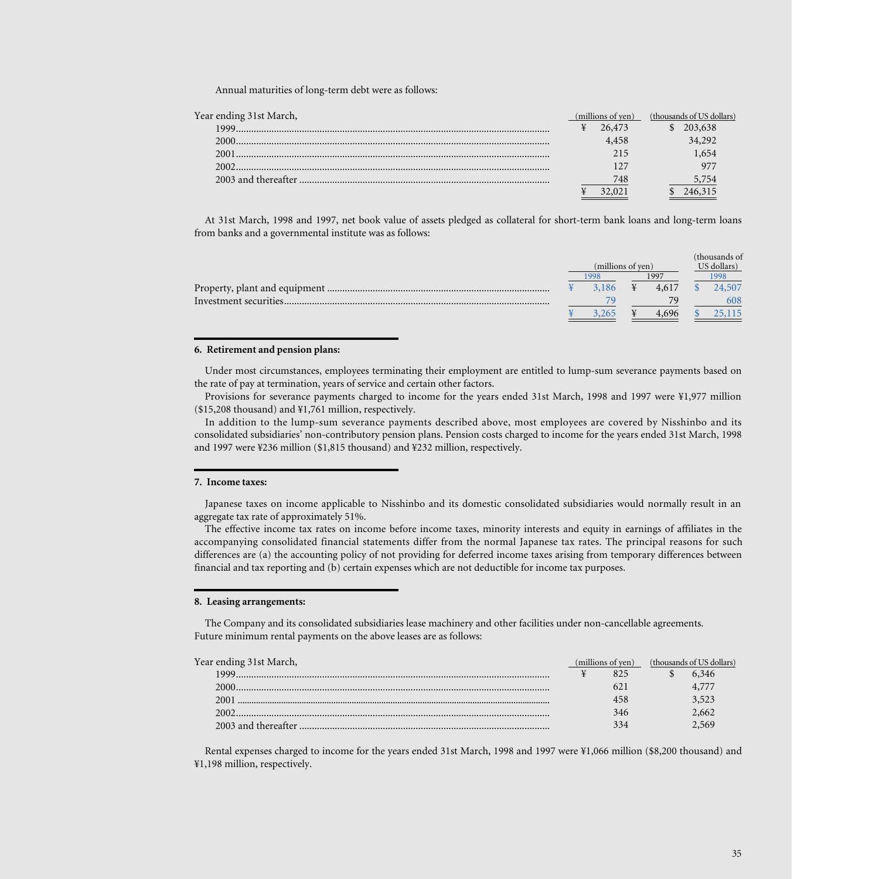Annual maturities of long-term debt were as follows:

| Year ending 31st March, | (millions of yen) | (thousands of US dollars) |
|-------------------------|-------------------|---------------------------|
|                         | 26,473            | \$203,638                 |
|                         | 4.458             | 34,292                    |
|                         | 215               | 1,654                     |
| 2002                    |                   |                           |
|                         | 748               | 5,754                     |
|                         |                   |                           |

At 31st March, 1998 and 1997, net book value of assets pledged as collateral for short-term bank loans and long-term loans from banks and a governmental institute was as follows:

|                        |                   |       |             |  | (thousands of |
|------------------------|-------------------|-------|-------------|--|---------------|
|                        | (millions of yen) |       | US dollars) |  |               |
|                        |                   | 998   | 1997        |  | 998           |
|                        |                   | 3.186 | 4.617       |  | 24,507        |
| Investment securities. |                   |       | 79.         |  | 608           |
|                        |                   | .265  | 4.696       |  | .115          |
|                        |                   |       |             |  |               |

### **6. Retirement and pension plans:**

Under most circumstances, employees terminating their employment are entitled to lump-sum severance payments based on the rate of pay at termination, years of service and certain other factors.

Provisions for severance payments charged to income for the years ended 31st March, 1998 and 1997 were ¥1,977 million (\$15,208 thousand) and ¥1,761 million, respectively.

In addition to the lump-sum severance payments described above, most employees are covered by Nisshinbo and its consolidated subsidiaries' non-contributory pension plans. Pension costs charged to income for the years ended 31st March, 1998 and 1997 were ¥236 million (\$1,815 thousand) and ¥232 million, respectively.

## **7. Income taxes:**

Japanese taxes on income applicable to Nisshinbo and its domestic consolidated subsidiaries would normally result in an aggregate tax rate of approximately 51%.

The effective income tax rates on income before income taxes, minority interests and equity in earnings of affiliates in the accompanying consolidated financial statements differ from the normal Japanese tax rates. The principal reasons for such differences are (a) the accounting policy of not providing for deferred income taxes arising from temporary differences between financial and tax reporting and (b) certain expenses which are not deductible for income tax purposes.

#### **8. Leasing arrangements:**

The Company and its consolidated subsidiaries lease machinery and other facilities under non-cancellable agreements. Future minimum rental payments on the above leases are as follows:

| Year ending 31st March, | (millions of ven) | (thousands of US dollars) |  |
|-------------------------|-------------------|---------------------------|--|
| 1999.                   | 825               | 6.346                     |  |
| 2000.                   |                   |                           |  |
| 2001                    | 458               | 3,523                     |  |
| 2002                    | 346               | 2,662                     |  |
|                         | 334               | 2,569                     |  |

Rental expenses charged to income for the years ended 31st March, 1998 and 1997 were ¥1,066 million (\$8,200 thousand) and ¥1,198 million, respectively.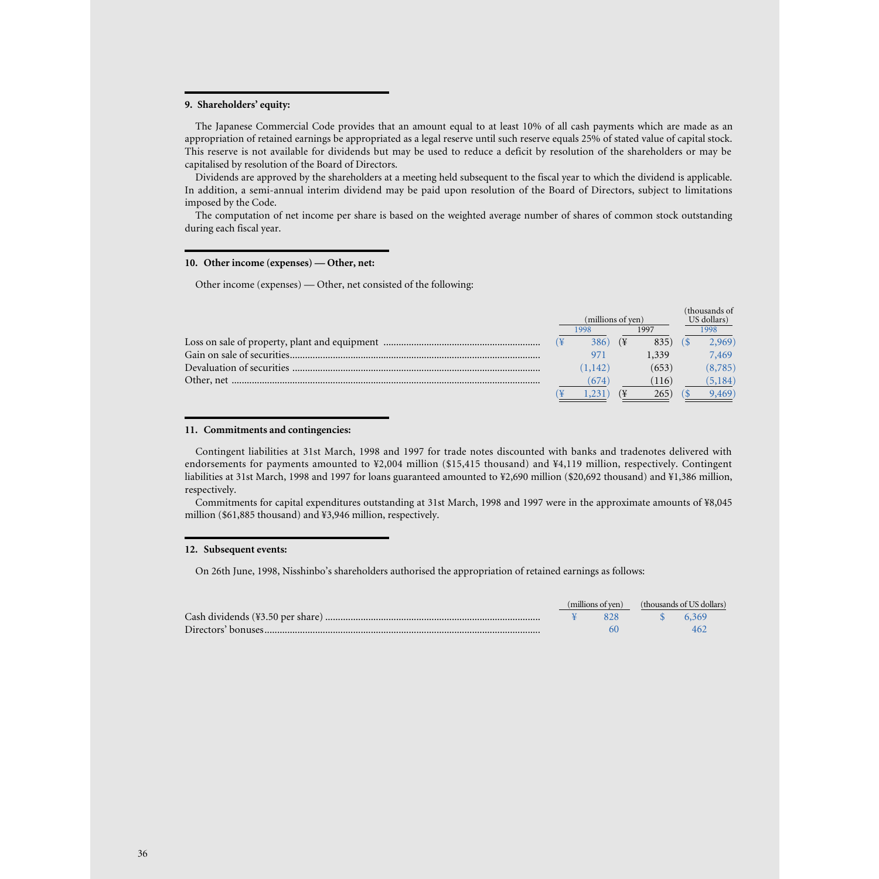### **9. Shareholders' equity:**

The Japanese Commercial Code provides that an amount equal to at least 10% of all cash payments which are made as an appropriation of retained earnings be appropriated as a legal reserve until such reserve equals 25% of stated value of capital stock. This reserve is not available for dividends but may be used to reduce a deficit by resolution of the shareholders or may be capitalised by resolution of the Board of Directors.

Dividends are approved by the shareholders at a meeting held subsequent to the fiscal year to which the dividend is applicable. In addition, a semi-annual interim dividend may be paid upon resolution of the Board of Directors, subject to limitations imposed by the Code.

The computation of net income per share is based on the weighted average number of shares of common stock outstanding during each fiscal year.

### **10. Other income (expenses) — Other, net:**

Other income (expenses) — Other, net consisted of the following:

|  |                   |  |       |             | (thousands of |
|--|-------------------|--|-------|-------------|---------------|
|  | (millions of yen) |  |       | US dollars) |               |
|  | 1998              |  | 1997  |             | 1998          |
|  | 386)              |  | 835)  |             | 2,969)        |
|  |                   |  | 1.339 |             | 7,469         |
|  | (1,142)           |  | (653) |             | (8, 785)      |
|  | (674)             |  | (116) |             | (5, 184)      |
|  |                   |  | 2651  |             | 9,469)        |

### **11. Commitments and contingencies:**

Contingent liabilities at 31st March, 1998 and 1997 for trade notes discounted with banks and tradenotes delivered with endorsements for payments amounted to ¥2,004 million (\$15,415 thousand) and ¥4,119 million, respectively. Contingent liabilities at 31st March, 1998 and 1997 for loans guaranteed amounted to ¥2,690 million (\$20,692 thousand) and ¥1,386 million, respectively.

Commitments for capital expenditures outstanding at 31st March, 1998 and 1997 were in the approximate amounts of ¥8,045 million (\$61,885 thousand) and ¥3,946 million, respectively.

### **12. Subsequent events:**

On 26th June, 1998, Nisshinbo's shareholders authorised the appropriation of retained earnings as follows:

|  | (millions of yen) | (thousands of US dollars) |  |
|--|-------------------|---------------------------|--|
|  |                   |                           |  |
|  |                   |                           |  |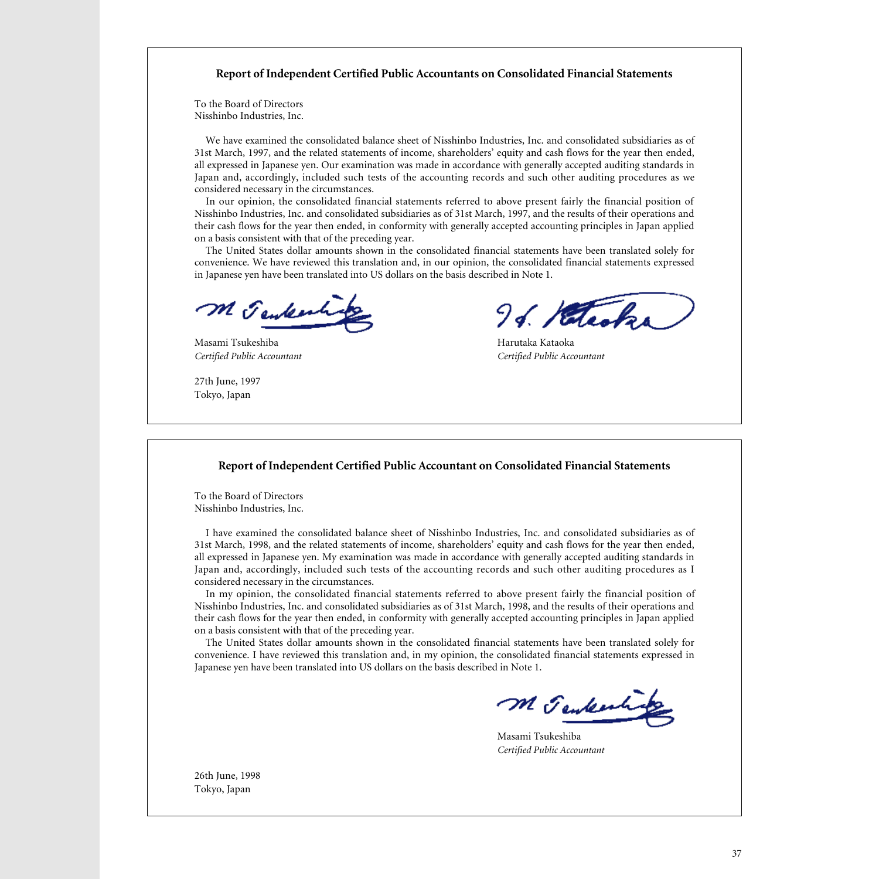# **Report of Independent Certified Public Accountants on Consolidated Financial Statements**

To the Board of Directors Nisshinbo Industries, Inc.

We have examined the consolidated balance sheet of Nisshinbo Industries, Inc. and consolidated subsidiaries as of 31st March, 1997, and the related statements of income, shareholders' equity and cash flows for the year then ended, all expressed in Japanese yen. Our examination was made in accordance with generally accepted auditing standards in Japan and, accordingly, included such tests of the accounting records and such other auditing procedures as we considered necessary in the circumstances.

In our opinion, the consolidated financial statements referred to above present fairly the financial position of Nisshinbo Industries, Inc. and consolidated subsidiaries as of 31st March, 1997, and the results of their operations and their cash flows for the year then ended, in conformity with generally accepted accounting principles in Japan applied on a basis consistent with that of the preceding year.

The United States dollar amounts shown in the consolidated financial statements have been translated solely for convenience. We have reviewed this translation and, in our opinion, the consolidated financial statements expressed in Japanese yen have been translated into US dollars on the basis described in Note 1.

M Jenkenhitz

Masami Tsukeshiba Harutaka Kataoka

27th June, 1997 Tokyo, Japan

96. Hetecks

*Certified Public Accountant Certified Public Accountant*

## **Report of Independent Certified Public Accountant on Consolidated Financial Statements**

To the Board of Directors Nisshinbo Industries, Inc.

I have examined the consolidated balance sheet of Nisshinbo Industries, Inc. and consolidated subsidiaries as of 31st March, 1998, and the related statements of income, shareholders' equity and cash flows for the year then ended, all expressed in Japanese yen. My examination was made in accordance with generally accepted auditing standards in Japan and, accordingly, included such tests of the accounting records and such other auditing procedures as I considered necessary in the circumstances.

In my opinion, the consolidated financial statements referred to above present fairly the financial position of Nisshinbo Industries, Inc. and consolidated subsidiaries as of 31st March, 1998, and the results of their operations and their cash flows for the year then ended, in conformity with generally accepted accounting principles in Japan applied on a basis consistent with that of the preceding year.

The United States dollar amounts shown in the consolidated financial statements have been translated solely for convenience. I have reviewed this translation and, in my opinion, the consolidated financial statements expressed in Japanese yen have been translated into US dollars on the basis described in Note 1.

M Jenkesting

Masami Tsukeshiba *Certified Public Accountant*

26th June, 1998 Tokyo, Japan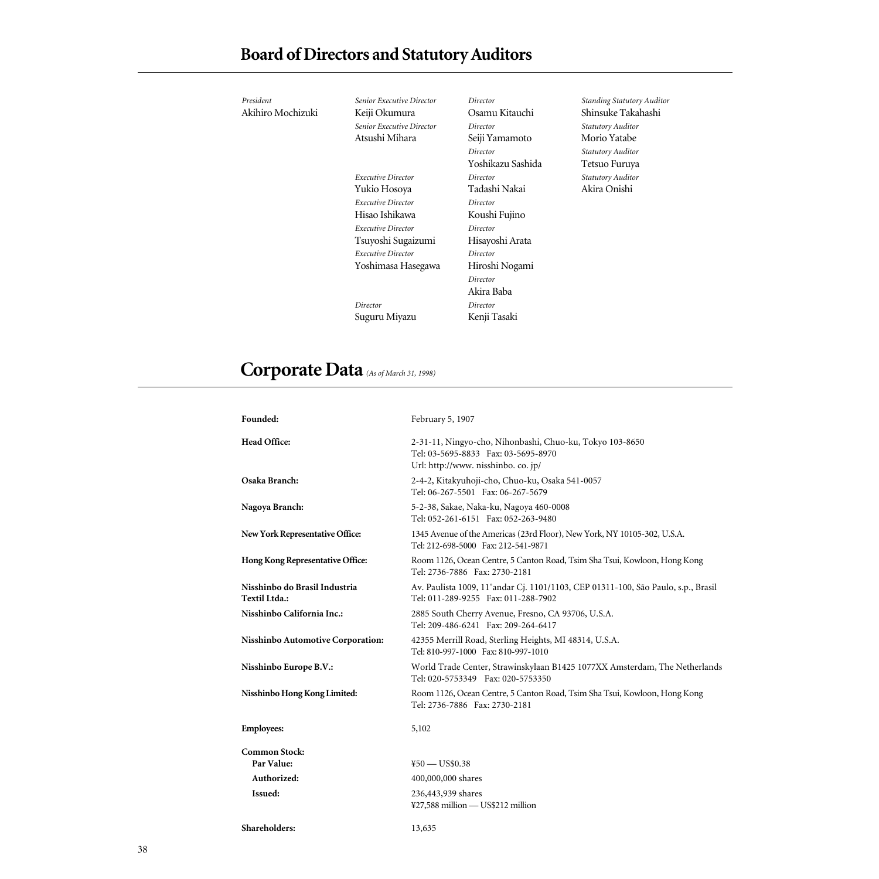| President         | <b>Senior Executive Director</b> | Director          | <b>Standing Statutory Auditor</b> |
|-------------------|----------------------------------|-------------------|-----------------------------------|
| Akihiro Mochizuki | Keiji Okumura                    | Osamu Kitauchi    | Shinsuke Takahashi                |
|                   | Senior Executive Director        | Director          | <b>Statutory Auditor</b>          |
|                   | Atsushi Mihara                   | Seiji Yamamoto    | Morio Yatabe                      |
|                   |                                  | Director          | <b>Statutory Auditor</b>          |
|                   |                                  | Yoshikazu Sashida | Tetsuo Furuya                     |
|                   | <b>Executive Director</b>        | Director          | <b>Statutory Auditor</b>          |
|                   | Yukio Hosoya                     | Tadashi Nakai     | Akira Onishi                      |
|                   | <b>Executive Director</b>        | Director          |                                   |
|                   | Hisao Ishikawa                   | Koushi Fujino     |                                   |
|                   | <b>Executive Director</b>        | Director          |                                   |
|                   | Tsuyoshi Sugaizumi               | Hisayoshi Arata   |                                   |
|                   | <b>Executive Director</b>        | Director          |                                   |
|                   | Yoshimasa Hasegawa               | Hiroshi Nogami    |                                   |
|                   |                                  | Director          |                                   |
|                   |                                  | Akira Baba        |                                   |
|                   | Director                         | Director          |                                   |
|                   | Suguru Miyazu                    | Kenji Tasaki      |                                   |
|                   |                                  |                   |                                   |

# **Corporate Data** *(As of March 31, 1998)*

| Founded:                                       | February 5, 1907                                                                                                                       |
|------------------------------------------------|----------------------------------------------------------------------------------------------------------------------------------------|
| <b>Head Office:</b>                            | 2-31-11, Ningyo-cho, Nihonbashi, Chuo-ku, Tokyo 103-8650<br>Tel: 03-5695-8833 Fax: 03-5695-8970<br>Url: http://www. nisshinbo. co. jp/ |
| Osaka Branch:                                  | 2-4-2, Kitakyuhoji-cho, Chuo-ku, Osaka 541-0057<br>Tel: 06-267-5501 Fax: 06-267-5679                                                   |
| Nagoya Branch:                                 | 5-2-38, Sakae, Naka-ku, Nagoya 460-0008<br>Tel: 052-261-6151 Fax: 052-263-9480                                                         |
| New York Representative Office:                | 1345 Avenue of the Americas (23rd Floor), New York, NY 10105-302, U.S.A.<br>Tel: 212-698-5000 Fax: 212-541-9871                        |
| Hong Kong Representative Office:               | Room 1126, Ocean Centre, 5 Canton Road, Tsim Sha Tsui, Kowloon, Hong Kong<br>Tel: 2736-7886 Fax: 2730-2181                             |
| Nisshinbo do Brasil Industria<br>Textil Ltda.: | Av. Paulista 1009, 11° andar Cj. 1101/1103, CEP 01311-100, São Paulo, s.p., Brasil<br>Tel: 011-289-9255 Fax: 011-288-7902              |
| Nisshinbo California Inc.:                     | 2885 South Cherry Avenue, Fresno, CA 93706, U.S.A.<br>Tel: 209-486-6241 Fax: 209-264-6417                                              |
| Nisshinbo Automotive Corporation:              | 42355 Merrill Road, Sterling Heights, MI 48314, U.S.A.<br>Tel: 810-997-1000 Fax: 810-997-1010                                          |
| Nisshinbo Europe B.V.:                         | World Trade Center, Strawinskylaan B1425 1077XX Amsterdam, The Netherlands<br>Tel: 020-5753349 Fax: 020-5753350                        |
| Nisshinbo Hong Kong Limited:                   | Room 1126, Ocean Centre, 5 Canton Road, Tsim Sha Tsui, Kowloon, Hong Kong<br>Tel: 2736-7886 Fax: 2730-2181                             |
| <b>Employees:</b>                              | 5,102                                                                                                                                  |
| <b>Common Stock:</b>                           |                                                                                                                                        |
| Par Value:                                     | $450 - US$0.38$                                                                                                                        |
| Authorized:                                    | 400,000,000 shares                                                                                                                     |
| Issued:                                        | 236,443,939 shares<br>¥27,588 million - US\$212 million                                                                                |
| Shareholders:                                  | 13,635                                                                                                                                 |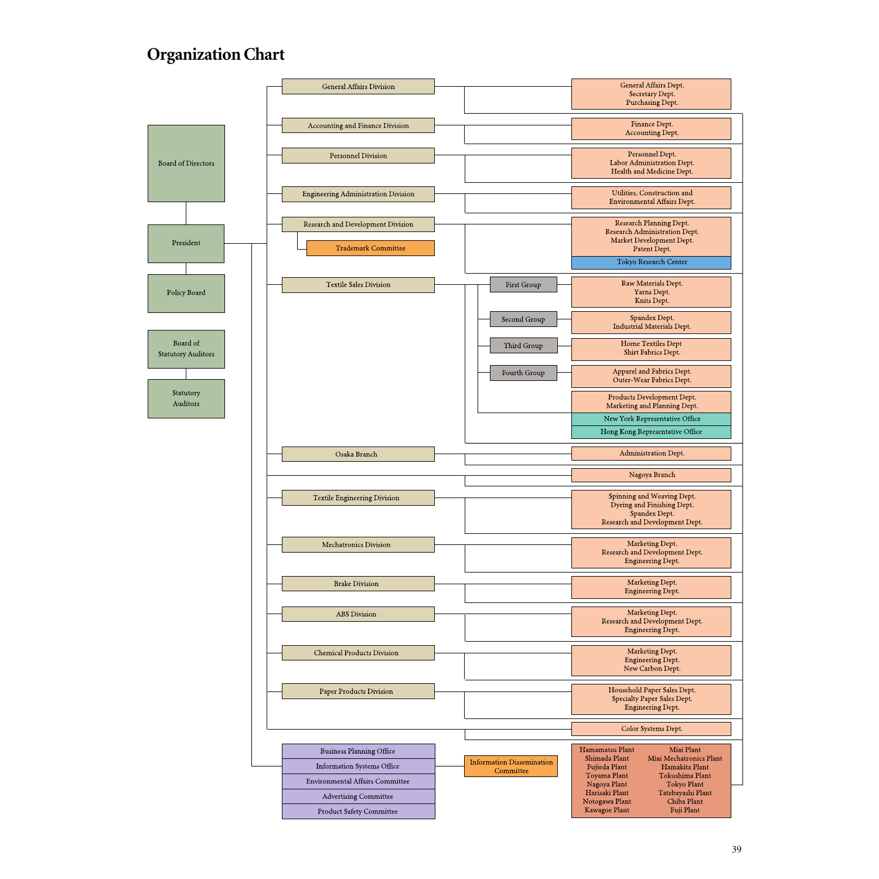# **Organization Chart**